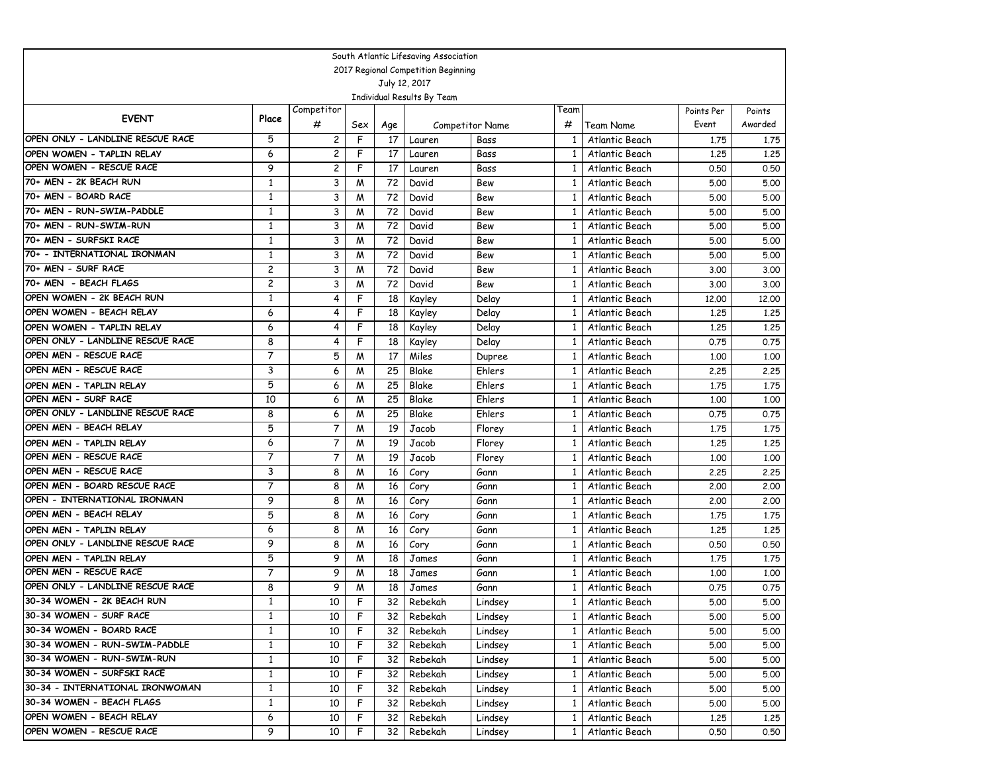|                                                             |                |            |        |          | South Atlantic Lifesaving Association |                    |                   |                                  |              |              |
|-------------------------------------------------------------|----------------|------------|--------|----------|---------------------------------------|--------------------|-------------------|----------------------------------|--------------|--------------|
|                                                             |                |            |        |          | 2017 Regional Competition Beginning   |                    |                   |                                  |              |              |
|                                                             |                |            |        |          | July 12, 2017                         |                    |                   |                                  |              |              |
|                                                             |                |            |        |          | Individual Results By Team            |                    |                   |                                  |              |              |
| <b>EVENT</b>                                                | Place          | Competitor |        |          |                                       |                    | Team              |                                  | Points Per   | Points       |
|                                                             |                | #          | Sex    | Age      |                                       | Competitor Name    | #                 | Team Name                        | Event        | Awarded      |
| OPEN ONLY - LANDLINE RESCUE RACE                            | 5              | 2          | F      | 17       | Lauren                                | Bass               | 1                 | Atlantic Beach                   | 1.75         | 1.75         |
| OPEN WOMEN - TAPLIN RELAY                                   | 6              | 2          | F      | 17       | Lauren                                | Bass               | 1                 | Atlantic Beach                   | 1.25         | 1,25         |
| OPEN WOMEN - RESCUE RACE                                    | 9              | 2          | F      | 17       | Lauren                                | Bass               | 1                 | Atlantic Beach                   | 0.50         | 0.50         |
| 70+ MEN - 2K BEACH RUN                                      | $\mathbf{1}$   | 3          | M      | 72       | David                                 | Bew                | 1                 | Atlantic Beach                   | 5.00         | 5.00         |
| 70+ MEN - BOARD RACE                                        | $\mathbf{1}$   | 3          | M      | 72       | David                                 | Bew                | 1                 | Atlantic Beach                   | 5.00         | 5.00         |
| 70+ MEN - RUN-SWIM-PADDLE                                   | $\mathbf{1}$   | 3          | M      | 72       | David                                 | Bew                | 1                 | Atlantic Beach                   | 5.00         | 5.00         |
| 70+ MEN - RUN-SWIM-RUN                                      | 1              | 3          | M      | 72       | David                                 | Bew                | 1                 | Atlantic Beach                   | 5.00         | 5.00         |
| 70+ MEN - SURFSKI RACE                                      | $\mathbf{1}$   | 3          | M      | 72       | David                                 | Bew                | 1                 | Atlantic Beach                   | 5.00         | 5.00         |
| 70+ - INTERNATIONAL IRONMAN                                 | $\mathbf{1}$   | 3          | M      | 72       | David                                 | Bew                | 1                 | Atlantic Beach                   | 5.00         | 5.00         |
| 70+ MEN - SURF RACE                                         | $\overline{c}$ | 3          | M      | 72       | David                                 | Bew                | 1                 | Atlantic Beach                   | 3.00         | 3.00         |
| 70+ MEN - BEACH FLAGS                                       | 2              | 3          | M      | 72       | David                                 | Bew                | 1                 | Atlantic Beach                   | 3.00         | 3.00         |
| OPEN WOMEN - 2K BEACH RUN                                   | 1              | 4          | F      | 18       | Kayley                                | Delay              | 1                 | Atlantic Beach                   | 12,00        | 12.00        |
| OPEN WOMEN - BEACH RELAY                                    | 6              | 4          | F      | 18       | Kayley                                | Delay              | 1                 | Atlantic Beach                   | 1,25         | 1.25         |
| OPEN WOMEN - TAPLIN RELAY                                   | 6              | 4          | F      | 18       | Kayley                                | Delay              | 1                 | Atlantic Beach                   | 1,25         | 1.25         |
| OPEN ONLY - LANDLINE RESCUE RACE                            | 8              | 4          | F      | 18       | Kayley                                | Delay              | 1                 | Atlantic Beach                   | 0.75         | 0.75         |
| OPEN MEN - RESCUE RACE                                      | $\overline{7}$ | 5          | M      | 17       | Miles                                 | Dupree             | $\mathbf{1}$      | Atlantic Beach                   | 1.00         | 1,00         |
| OPEN MEN - RESCUE RACE                                      | 3              | 6          | M      | 25       | Blake                                 | Ehlers             | 1                 | Atlantic Beach                   | 2.25         | 2.25         |
| OPEN MEN - TAPLIN RELAY                                     | 5              | 6          | M      | 25       | Blake                                 | Ehlers             | 1                 | Atlantic Beach                   | 1.75         | 1.75         |
| OPEN MEN - SURF RACE<br>OPEN ONLY - LANDLINE RESCUE RACE    | 10             | 6          | M      | 25       | Blake                                 | Ehlers             | 1                 | Atlantic Beach                   | 1,00         | 1,00         |
| OPEN MEN - BEACH RELAY                                      | 8              | 6          | M      | 25       | Blake                                 | Ehlers             | 1                 | Atlantic Beach                   | 0.75         | 0.75         |
|                                                             | 5              | 7          | M      | 19       | Jacob                                 | Florey             | 1                 | Atlantic Beach                   | 1.75         | 1.75         |
| OPEN MEN - TAPLIN RELAY<br>OPEN MEN - RESCUE RACE           | 6              | 7          | M      | 19       | Jacob                                 | Florey             | 1                 | Atlantic Beach                   | 1,25         | 1,25         |
| OPEN MEN - RESCUE RACE                                      | 7<br>3         | 7          | M      | 19       | Jacob                                 | Florey             | 1                 | Atlantic Beach                   | 1,00         | 1,00         |
| OPEN MEN - BOARD RESCUE RACE                                | $\overline{7}$ | 8          | M      | 16       | Cory                                  | Gann               | 1                 | Atlantic Beach                   | 2.25         | 2,25         |
| OPEN - INTERNATIONAL IRONMAN                                | 9              | 8          | M      | 16       | Cory                                  | Gann               | 1                 | Atlantic Beach                   | 2,00         | 2,00         |
| OPEN MEN - BEACH RELAY                                      | 5              | 8          | M      | 16       | Cory                                  | Gann               | 1                 | Atlantic Beach                   | 2,00         | 2.00         |
|                                                             | 6              | 8          | M      | 16<br>16 | Cory                                  | Gann               | 1                 | Atlantic Beach                   | 1.75         | 1.75         |
| OPEN MEN - TAPLIN RELAY<br>OPEN ONLY - LANDLINE RESCUE RACE | 9              | 8          | M      | 16       | Cory                                  | Gann               | 1                 | Atlantic Beach                   | 1,25         | 1,25         |
| OPEN MEN - TAPLIN RELAY                                     | 5              | 8<br>9     | W<br>M | 18       | Cory                                  | Gann               | $\mathbf{1}$<br>1 | Atlantic Beach<br>Atlantic Beach | 0.50         | 0.50         |
| OPEN MEN - RESCUE RACE                                      | $\overline{7}$ | 9          | M      | 18       | James<br>James                        | Gann<br>Gann       |                   | Atlantic Beach                   | 1.75         | 1.75         |
| OPEN ONLY - LANDLINE RESCUE RACE                            | 8              | 9          | M      | 18       |                                       | Gann               | 1<br>1            | Atlantic Beach                   | 1,00         | 1,00<br>0.75 |
| 30-34 WOMEN - 2K BEACH RUN                                  | 1              | 10         | F      | 32       | James<br>Rebekah                      |                    | 1                 | Atlantic Beach                   | 0.75<br>5.00 | 5.00         |
| 30-34 WOMEN - SURF RACE                                     | $\mathbf{1}$   | 10         | F      |          | Rebekah                               | Lindsey<br>Lindsey | 1 <sup>1</sup>    | Atlantic Beach                   | 5.00         | 5.00         |
| 30-34 WOMEN - BOARD RACE                                    | $\mathbf{1}$   | 10         | F      | 32<br>32 | Rebekah                               | Lindsey            | $\mathbf{1}$      | Atlantic Beach                   | 5.00         | 5.00         |
| 30-34 WOMEN - RUN-SWIM-PADDLE                               | $\mathbf{1}$   | 10         | F      | 32       | Rebekah                               |                    |                   | Atlantic Beach                   |              |              |
| 30-34 WOMEN - RUN-SWIM-RUN                                  | $\mathbf{1}$   | 10         | F      | 32       | Rebekah                               | Lindsey<br>Lindsey | $\mathbf{1}$<br>1 | Atlantic Beach                   | 5.00<br>5.00 | 5.00<br>5.00 |
| 30-34 WOMEN - SURFSKI RACE                                  | $\mathbf{1}$   |            | F      |          |                                       |                    |                   |                                  |              |              |
| 30-34 - INTERNATIONAL IRONWOMAN                             | $\mathbf{1}$   | 10<br>10   | F.     | 32<br>32 | Rebekah<br>Rebekah                    | Lindsey<br>Lindsey | 1<br>1            | Atlantic Beach<br>Atlantic Beach | 5.00         | 5.00<br>5.00 |
| 30-34 WOMEN - BEACH FLAGS                                   | $\mathbf{1}$   |            | F      |          |                                       |                    |                   | Atlantic Beach                   | 5.00         |              |
| OPEN WOMEN - BEACH RELAY                                    |                | 10<br>10   | F      | 32<br>32 | Rebekah                               | Lindsey            | 1                 |                                  | 5.00         | 5.00         |
| OPEN WOMEN - RESCUE RACE                                    | 6              |            |        |          | Rebekah                               | Lindsey            | $\mathbf{1}$      | Atlantic Beach                   | 1.25         | 1.25         |
|                                                             | 9              | 10         | F      | 32       | Rebekah                               | Lindsey            | $\mathbf{1}$      | Atlantic Beach                   | 0.50         | 0.50         |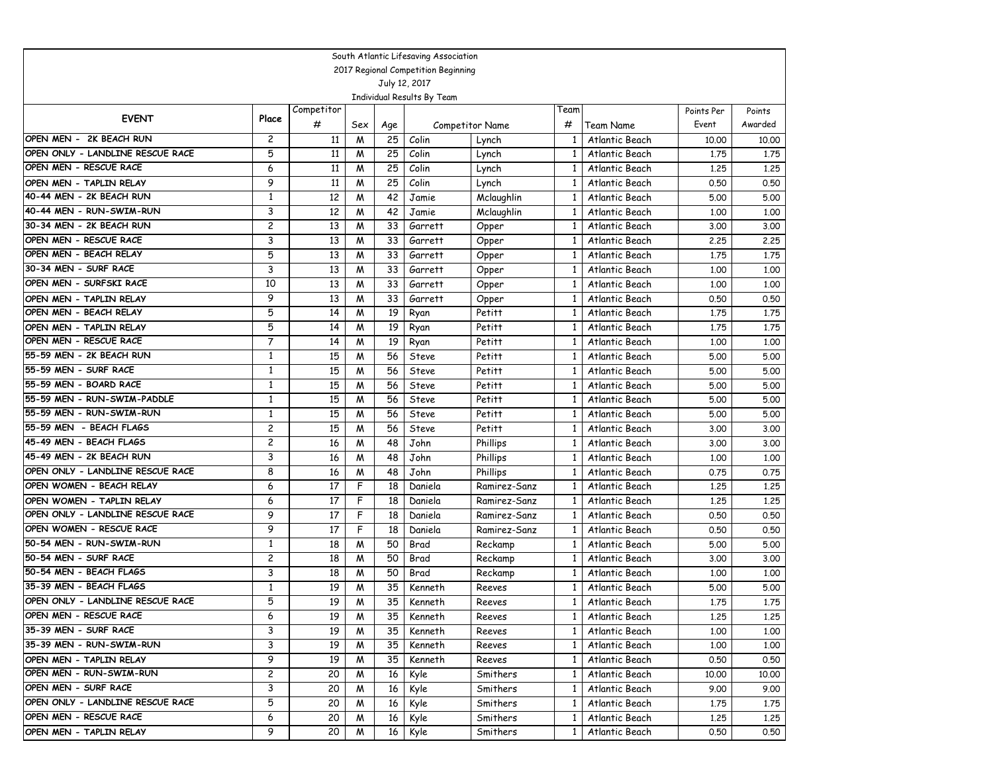|                                                              |                   |            |     |     | South Atlantic Lifesaving Association |                 |                |                    |            |         |
|--------------------------------------------------------------|-------------------|------------|-----|-----|---------------------------------------|-----------------|----------------|--------------------|------------|---------|
|                                                              |                   |            |     |     | 2017 Regional Competition Beginning   |                 |                |                    |            |         |
|                                                              |                   |            |     |     | July 12, 2017                         |                 |                |                    |            |         |
|                                                              |                   |            |     |     | Individual Results By Team            |                 |                |                    |            |         |
| <b>EVENT</b>                                                 | Place             | Competitor |     |     |                                       |                 | Team           |                    | Points Per | Points  |
|                                                              |                   | #          | Sex | Age |                                       | Competitor Name | #              | Team Name          | Event      | Awarded |
| OPEN MEN - 2K BEACH RUN                                      | $\overline{c}$    | 11         | M   | 25  | Colin                                 | Lynch           |                | Atlantic Beach     | 10.00      | 10.00   |
| OPEN ONLY - LANDLINE RESCUE RACE                             | 5                 | 11         | M   | 25  | Colin                                 | Lynch           |                | Atlantic Beach     | 1.75       | 1.75    |
| OPEN MEN - RESCUE RACE                                       | 6                 | 11         | M   | 25  | Colin                                 | Lynch           | -1             | Atlantic Beach     | 1,25       | 1,25    |
| OPEN MEN - TAPLIN RELAY                                      | 9                 | 11         | M   | 25  | Colin                                 | Lynch           | 1              | Atlantic Beach     | 0.50       | 0.50    |
| 40-44 MEN - 2K BEACH RUN                                     | $\mathbf{1}$      | 12         | M   | 42  | Jamie                                 | Mclaughlin      | 1              | Atlantic Beach     | 5.00       | 5.00    |
| 40-44 MEN - RUN-SWIM-RUN                                     | 3                 | 12         | M   | 42  | Jamie                                 | Mclaughlin      | 1              | Atlantic Beach     | 1,00       | 1.00    |
| 30-34 MEN - 2K BEACH RUN                                     | $\overline{c}$    | 13         | M   | 33  | Garrett                               | Opper           |                | Atlantic Beach     | 3.00       | 3.00    |
| OPEN MEN - RESCUE RACE                                       | 3                 | 13         | M   | 33  | Garrett                               | Opper           | 1              | Atlantic Beach     | 2.25       | 2.25    |
| OPEN MEN - BEACH RELAY                                       | 5                 | 13         | M   | 33  | Garrett                               | Opper           | 1              | Atlantic Beach     | 1.75       | 1.75    |
| 30-34 MEN - SURF RACE                                        | 3                 | 13         | M   | 33  | Garrett                               | Opper           | 1              | Atlantic Beach     | 1,00       | 1.00    |
| OPEN MEN - SURFSKI RACE                                      | 10                | 13         | M   | 33  | Garrett                               | Opper           | 1              | Atlantic Beach     | 1,00       | 1.00    |
| OPEN MEN - TAPLIN RELAY                                      | 9                 | 13         | M   | 33  | Garrett                               | Opper           | -1             | Atlantic Beach     | 0.50       | 0.50    |
| OPEN MEN - BEACH RELAY                                       | 5                 | 14         | M   | 19  | Ryan                                  | Petitt          |                | Atlantic Beach     | 1.75       | 1.75    |
| OPEN MEN - TAPLIN RELAY                                      | 5                 | 14         | M   | 19  | Ryan                                  | Petitt          | 1              | Atlantic Beach     | 1.75       | 1.75    |
| OPEN MEN - RESCUE RACE                                       | $\overline{7}$    | 14         | M   | 19  | Ryan                                  | Petitt          | 1              | Atlantic Beach     | 1.00       | 1.00    |
| 55-59 MEN - 2K BEACH RUN                                     | $\mathbf{1}$      | 15         | M   | 56  | <b>Steve</b>                          | Petitt          | 1              | Atlantic Beach     | 5.00       | 5.00    |
| 55-59 MEN - SURF RACE                                        | $\mathbf{1}$      | 15         | M   | 56  | <b>Steve</b>                          | Petitt          | 1              | Atlantic Beach     | 5.00       | 5.00    |
| 55-59 MEN - BOARD RACE                                       | 1                 | 15         | M   | 56  | <b>Steve</b>                          | Petitt          | 1              | Atlantic Beach     | 5.00       | 5.00    |
| 55-59 MEN - RUN-SWIM-PADDLE                                  | 1                 | 15         | M   | 56  | <b>Steve</b>                          | Petitt          | 1              | Atlantic Beach     | 5.00       | 5.00    |
| 55-59 MEN - RUN-SWIM-RUN                                     | $\mathbf{1}$      | 15         | M   | 56  | Steve                                 | Petitt          | 1              | Atlantic Beach     | 5.00       | 5.00    |
| 55-59 MEN - BEACH FLAGS                                      | $\overline{c}$    | 15         | W   | 56  | Steve                                 | Petitt          | 1              | Atlantic Beach     | 3.00       | 3.00    |
| 45-49 MEN - BEACH FLAGS                                      | $\overline{c}$    | 16         | W   | 48  | John                                  | Phillips        |                | Atlantic Beach     | 3.00       | 3.00    |
| 45-49 MEN - 2K BEACH RUN                                     | 3                 | 16         | M   | 48  | John                                  | Phillips        | 1              | Atlantic Beach     | 1,00       | 1.00    |
| OPEN ONLY - LANDLINE RESCUE RACE                             | 8                 | 16         | W   | 48  | John                                  | Phillips        | 1              | Atlantic Beach     | 0.75       | 0.75    |
| OPEN WOMEN - BEACH RELAY                                     | 6                 | 17         | F   | 18  | Daniela                               | Ramirez-Sanz    |                | Atlantic Beach     | 1,25       | 1,25    |
| OPEN WOMEN - TAPLIN RELAY                                    | 6                 | 17         | F   | 18  | Daniela                               | Ramirez-Sanz    |                | Atlantic Beach     | 1,25       | 1.25    |
| OPEN ONLY - LANDLINE RESCUE RACE<br>OPEN WOMEN - RESCUE RACE | 9                 | 17         | F   | 18  | Daniela                               | Ramirez-Sanz    | -1             | Atlantic Beach     | 0.50       | 0.50    |
| 50-54 MEN - RUN-SWIM-RUN                                     | 9                 | 17         | F   | 18  | Daniela                               | Ramirez-Sanz    | 1              | Atlantic Beach     | 0.50       | 0.50    |
| 50-54 MEN - SURF RACE                                        | $\mathbf{1}$      | 18         | M   | 50  | Brad                                  | Reckamp         | -1             | Atlantic Beach     | 5.00       | 5.00    |
| 50-54 MEN - BEACH FLAGS                                      | 2<br>3            | 18         | M   | 50  | Brad                                  | Reckamp         | 1              | Atlantic Beach     | 3.00       | 3.00    |
| 35-39 MEN - BEACH FLAGS                                      |                   | 18         | M   | 50  | Brad                                  | Reckamp         | 1              | Atlantic Beach     | 1,00       | 1.00    |
| OPEN ONLY - LANDLINE RESCUE RACE                             | $\mathbf{1}$<br>5 | 19         | M   | 35  | Kenneth                               | Reeves          |                | Atlantic Beach     | 5.00       | 5.00    |
|                                                              |                   | 19         | W   | 35  | Kenneth                               | Reeves          | 1              | Atlantic Beach     | 1.75       | 1.75    |
| OPEN MEN - RESCUE RACE<br>35-39 MEN - SURF RACE              | 6<br>3            | 19         | M   | 35. | Kenneth                               | Reeves          |                | 1   Atlantic Beach | 1,25       | 1.25    |
| 35-39 MEN - RUN-SWIM-RUN                                     | 3                 | 19         | M   | 35  | Kenneth                               | Reeves          | 1 <sup>1</sup> | Atlantic Beach     | 1.00       | 1,00    |
|                                                              |                   | 19         | M   | 35  | Kenneth                               | Reeves          | $1\phantom{0}$ | Atlantic Beach     | 1.00       | 1.00    |
| OPEN MEN - TAPLIN RELAY<br>OPEN MEN - RUN-SWIM-RUN           | 9                 | 19         | M   | 35  | Kenneth                               | Reeves          | $\mathbf{1}$   | Atlantic Beach     | 0.50       | 0.50    |
| OPEN MEN - SURF RACE                                         | 2<br>3            | 20         | M   | 16  | Kyle                                  | Smithers        | 1              | Atlantic Beach     | 10.00      | 10.00   |
| OPEN ONLY - LANDLINE RESCUE RACE                             | 5                 | 20         | M   | 16  | Kyle                                  | Smithers        | 1              | Atlantic Beach     | 9.00       | 9.00    |
|                                                              |                   | 20         | M   | 16  | Kyle                                  | Smithers        | 1              | Atlantic Beach     | 1.75       | 1,75    |
| OPEN MEN - RESCUE RACE                                       | 6                 | 20         | M   | 16  | Kyle                                  | Smithers        | 1              | Atlantic Beach     | 1.25       | 1,25    |
| OPEN MEN - TAPLIN RELAY                                      | 9                 | 20         | M   | 16  | Kyle                                  | Smithers        | 1 <sup>1</sup> | Atlantic Beach     | 0.50       | 0.50    |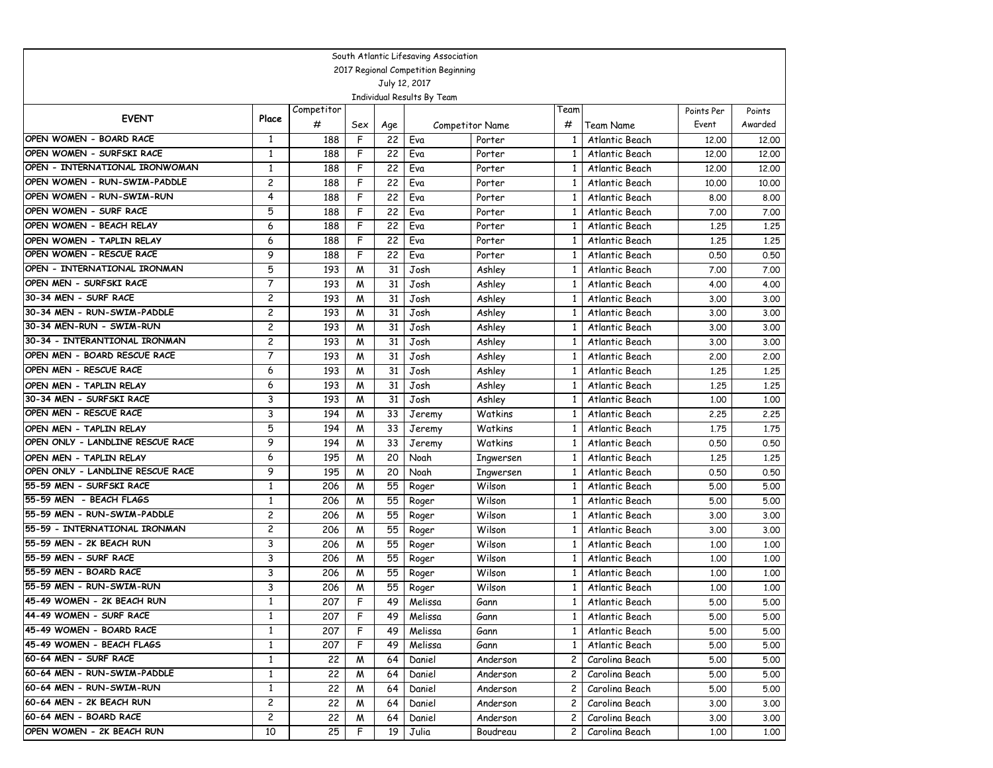|                                  |                |            |     |     | South Atlantic Lifesaving Association |                  |                |                    |            |         |
|----------------------------------|----------------|------------|-----|-----|---------------------------------------|------------------|----------------|--------------------|------------|---------|
|                                  |                |            |     |     | 2017 Regional Competition Beginning   |                  |                |                    |            |         |
|                                  |                |            |     |     | July 12, 2017                         |                  |                |                    |            |         |
|                                  |                |            |     |     | Individual Results By Team            |                  |                |                    |            |         |
| <b>EVENT</b>                     | Place          | Competitor |     |     |                                       |                  | Геаm           |                    | Points Per | Points  |
|                                  |                | #          | Sex | Age |                                       | Competitor Name  | #              | Team Name          | Event      | Awarded |
| OPEN WOMEN - BOARD RACE          | $\mathbf{1}$   | 188        | F   | 22  | Eva                                   | Porter           | 1              | Atlantic Beach     | 12,00      | 12.00   |
| OPEN WOMEN - SURFSKI RACE        | 1              | 188        | F   | 22  | Eva                                   | Porter           | 1              | Atlantic Beach     | 12,00      | 12,00   |
| OPEN - INTERNATIONAL IRONWOMAN   | $\mathbf{1}$   | 188        | F   | 22  | Eva                                   | Porter           | 1              | Atlantic Beach     | 12,00      | 12,00   |
| OPEN WOMEN - RUN-SWIM-PADDLE     | $\overline{c}$ | 188        | F   | 22  | Eva                                   | Porter           | 1              | Atlantic Beach     | 10.00      | 10.00   |
| OPEN WOMEN - RUN-SWIM-RUN        | 4              | 188        | F   | 22  | Eva                                   | Porter           | 1              | Atlantic Beach     | 8.00       | 8.00    |
| OPEN WOMEN - SURF RACE           | 5              | 188        | F   | 22  | Eva                                   | Porter           | 1              | Atlantic Beach     | 7.00       | 7.00    |
| OPEN WOMEN - BEACH RELAY         | 6              | 188        | F   | 22  | Eva                                   | Porter           | 1              | Atlantic Beach     | 1,25       | 1,25    |
| OPEN WOMEN - TAPLIN RELAY        | 6              | 188        | F   | 22  | Eva                                   | Porter           | $\mathbf{1}$   | Atlantic Beach     | 1,25       | 1.25    |
| OPEN WOMEN - RESCUE RACE         | 9              | 188        | F   | 22  | Eva                                   | Porter           | 1              | Atlantic Beach     | 0.50       | 0.50    |
| OPEN - INTERNATIONAL IRONMAN     | 5              | 193        | M   | 31  | Josh                                  | Ashley           | 1              | Atlantic Beach     | 7.00       | 7.00    |
| OPEN MEN - SURFSKI RACE          | 7              | 193        | M   | 31  | Josh                                  | Ashley           | 1              | Atlantic Beach     | 4.00       | 4.00    |
| 30-34 MEN - SURF RACE            | $\overline{c}$ | 193        | M   | 31  | Josh                                  | Ashley           | 1              | Atlantic Beach     | 3.00       | 3.00    |
| 30-34 MEN - RUN-SWIM-PADDLE      | $\overline{c}$ | 193        | M   | 31  | Josh                                  | Ashley           | 1              | Atlantic Beach     | 3.00       | 3.00    |
| 30-34 MEN-RUN - SWIM-RUN         | $\overline{c}$ | 193        | M   | 31  | Josh                                  | Ashley           | 1              | Atlantic Beach     | 3.00       | 3.00    |
| 30-34 - INTERANTIONAL IRONMAN    | $\overline{c}$ | 193        | M   | 31  | Josh                                  | Ashley           | $\mathbf{1}$   | Atlantic Beach     | 3.00       | 3.00    |
| OPEN MEN - BOARD RESCUE RACE     | $\overline{7}$ | 193        | M   | 31  | Josh                                  | Ashley           | 1              | Atlantic Beach     | 2,00       | 2.00    |
| OPEN MEN - RESCUE RACE           | 6              | 193        | M   | 31  | Josh                                  | Ashley           | 1              | Atlantic Beach     | 1,25       | 1.25    |
| OPEN MEN - TAPLIN RELAY          | 6              | 193        | M   | 31  | Josh                                  | Ashley           | 1              | Atlantic Beach     | 1,25       | 1.25    |
| 30-34 MEN - SURFSKI RACE         | 3              | 193        | M   | 31  | Josh                                  | Ashley           | 1              | Atlantic Beach     | 1.00       | 1.00    |
| OPEN MEN - RESCUE RACE           | 3              | 194        | M   | 33  | Jeremy                                | Watkins          | 1              | Atlantic Beach     | 2.25       | 2.25    |
| OPEN MEN - TAPLIN RELAY          | 5              | 194        | M   | 33  | Jeremy                                | Watkins          | $\mathbf{1}$   | Atlantic Beach     | 1.75       | 1.75    |
| OPEN ONLY - LANDLINE RESCUE RACE | 9              | 194        | M   | 33  | Jeremy                                | Watkins          | 1              | Atlantic Beach     | 0.50       | 0.50    |
| OPEN MEN - TAPLIN RELAY          | 6              | 195        | M   | 20  | Noah                                  | Ingwersen        | 1              | Atlantic Beach     | 1,25       | 1.25    |
| OPEN ONLY - LANDLINE RESCUE RACE | 9              | 195        | M   | 20  | Noah                                  | <b>Ingwersen</b> | $\mathbf{1}$   | Atlantic Beach     | 0.50       | 0.50    |
| 55-59 MEN - SURFSKI RACE         | $\mathbf{1}$   | 206        | M   | 55  | Roger                                 | Wilson           | 1              | Atlantic Beach     | 5.00       | 5.00    |
| 55-59 MEN - BEACH FLAGS          | $\mathbf{1}$   | 206        | M   | 55  | Roger                                 | Wilson           | 1              | Atlantic Beach     | 5.00       | 5.00    |
| 55-59 MEN - RUN-SWIM-PADDLE      | $\overline{c}$ | 206        | W   | 55  | Roger                                 | Wilson           | 1              | Atlantic Beach     | 3.00       | 3.00    |
| 55-59 - INTERNATIONAL IRONMAN    | $\overline{c}$ | 206        | M   | 55  | Roger                                 | Wilson           | 1              | Atlantic Beach     | 3.00       | 3.00    |
| 55-59 MEN - 2K BEACH RUN         | 3              | 206        | M   | 55  | Roger                                 | Wilson           | 1              | Atlantic Beach     | 1.00       | 1.00    |
| 55-59 MEN - SURF RACE            | 3              | 206        | M   | 55  | Roger                                 | Wilson           | 1              | Atlantic Beach     | 1,00       | 1.00    |
| 55-59 MEN - BOARD RACE           | 3              | 206        | M   | 55  | Roger                                 | Wilson           | 1              | Atlantic Beach     | 1,00       | 1.00    |
| 55-59 MEN - RUN-SWIM-RUN         | 3              | 206        | M   | 55  | Roger                                 | Wilson           | 1              | Atlantic Beach     | 1,00       | 1.00    |
| 45-49 WOMEN - 2K BEACH RUN       | $\mathbf{1}$   | 207        | F   | 49  | Melissa                               | Gann             | 1              | Atlantic Beach     | 5.00       | 5.00    |
| 144-49 WOMEN - SURF RACE         | $\mathbf{1}$   | 207        | F   | 49  | Melissa                               | Gann             |                | 1   Atlantic Beach | 5.00       | 5.00    |
| 45-49 WOMEN - BOARD RACE         | $\mathbf{1}$   | 207        | F   | 49  | Melissa                               | Gann             | $1\vert$       | Atlantic Beach     | 5.00       | 5.00    |
| 45-49 WOMEN - BEACH FLAGS        | $\mathbf{1}$   | 207        | F   | 49  | Melissa                               | Gann             | $1\phantom{0}$ | Atlantic Beach     | 5.00       | 5.00    |
| 60-64 MEN - SURF RACE            | $\mathbf{1}$   | 22         | M   | 64  | Daniel                                | Anderson         | 2 I            | Carolina Beach     | 5.00       | 5.00    |
| 60-64 MEN - RUN-SWIM-PADDLE      | 1              | 22         | M   | 64  | Daniel                                | Anderson         | 2              | Carolina Beach     | 5.00       | 5.00    |
| 60-64 MEN - RUN-SWIM-RUN         | 1              | 22         | M   | 64  | Daniel                                | Anderson         | 2              | Carolina Beach     | 5.00       | 5.00    |
| 60-64 MEN - 2K BEACH RUN         | 2              | 22         | M   | 64  | Daniel                                | Anderson         | $\mathsf{2}$   | Carolina Beach     | 3.00       | 3.00    |
| 60-64 MEN - BOARD RACE           | $\overline{c}$ | 22         | M   | 64  | Daniel                                | Anderson         | $\mathbf{2}$   | Carolina Beach     | 3.00       | 3.00    |
| OPEN WOMEN - 2K BEACH RUN        | 10             | 25         | F   | 19  | Julia                                 | Boudreau         |                | 2   Carolina Beach | 1.00       | 1.00    |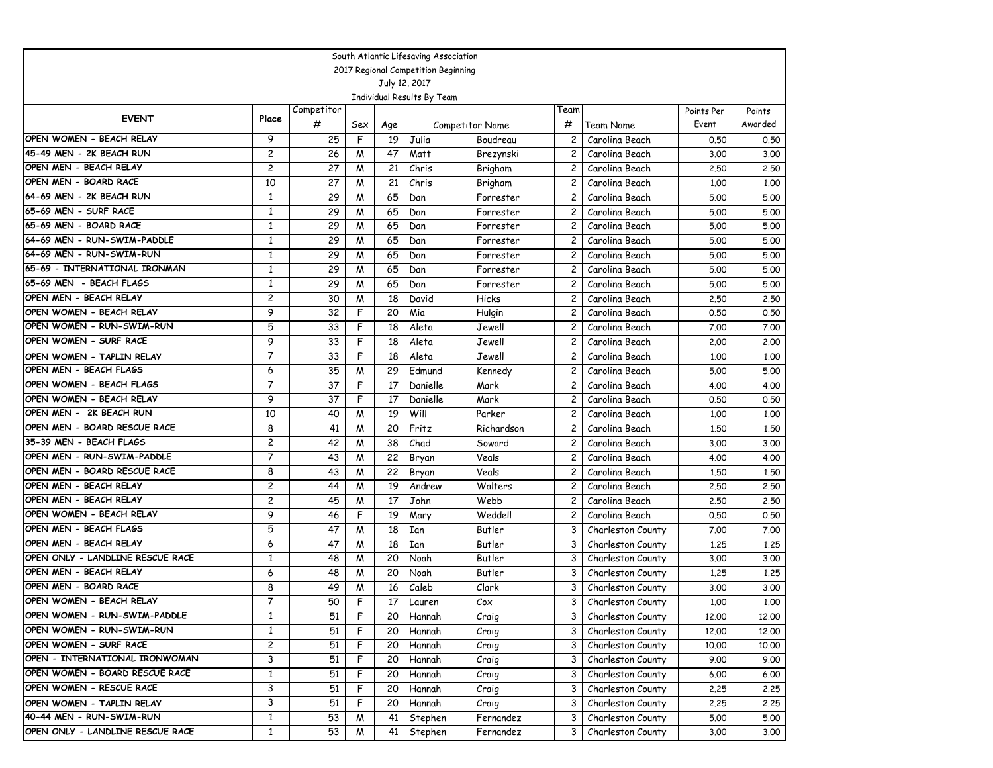|                                  |                         |                 |     |     | South Atlantic Lifesaving Association |                 |                |                   |            |         |
|----------------------------------|-------------------------|-----------------|-----|-----|---------------------------------------|-----------------|----------------|-------------------|------------|---------|
|                                  |                         |                 |     |     | 2017 Regional Competition Beginning   |                 |                |                   |            |         |
|                                  |                         |                 |     |     | July 12, 2017                         |                 |                |                   |            |         |
|                                  |                         |                 |     |     | Individual Results By Team            |                 |                |                   |            |         |
| <b>EVENT</b>                     | Place                   | Competitor      |     |     |                                       |                 | Team           |                   | Points Per | Points  |
|                                  |                         | #               | Sex | Age |                                       | Competitor Name | #              | Team Name         | Event      | Awarded |
| OPEN WOMEN - BEACH RELAY         | 9                       | 25              | F   | 19  | Julia                                 | Boudreau        | 2              | Carolina Beach    | 0.50       | 0.50    |
| 45-49 MEN - 2K BEACH RUN         | $\overline{c}$          | 26              | M   | 47  | Matt                                  | Brezynski       | 2              | Carolina Beach    | 3.00       | 3.00    |
| OPEN MEN - BEACH RELAY           | 2                       | 27              | M   | 21  | Chris                                 | Brigham         | 2              | Carolina Beach    | 2.50       | 2.50    |
| OPEN MEN - BOARD RACE            | 10                      | $\overline{27}$ | M   | 21  | Chris                                 | Brigham         | 2              | Carolina Beach    | 1,00       | 1.00    |
| 64-69 MEN - 2K BEACH RUN         | $\mathbf{1}$            | 29              | M   | 65  | Dan                                   | Forrester       | 2              | Carolina Beach    | 5.00       | 5.00    |
| 65-69 MEN - SURF RACE            | $\mathbf{1}$            | 29              | M   | 65  | Dan                                   | Forrester       | $\overline{c}$ | Carolina Beach    | 5.00       | 5.00    |
| 65-69 MEN - BOARD RACE           | $\mathbf{1}$            | 29              | M   | 65  | Dan                                   | Forrester       | 2              | Carolina Beach    | 5.00       | 5.00    |
| 64-69 MEN - RUN-SWIM-PADDLE      | $\mathbf{1}$            | 29              | M   | 65  | Dan                                   | Forrester       | $\overline{c}$ | Carolina Beach    | 5.00       | 5.00    |
| 64-69 MEN - RUN-SWIM-RUN         | $\mathbf{1}$            | 29              | M   | 65  | Dan                                   | Forrester       | 2              | Carolina Beach    | 5.00       | 5.00    |
| 65-69 - INTERNATIONAL IRONMAN    | $\mathbf{1}$            | 29              | M   | 65  | Dan                                   | Forrester       | 2              | Carolina Beach    | 5.00       | 5.00    |
| 65-69 MEN - BEACH FLAGS          | 1                       | 29              | M   | 65  | Dan                                   | Forrester       | 2              | Carolina Beach    | 5.00       | 5.00    |
| OPEN MEN - BEACH RELAY           | 2                       | 30              | M   | 18  | David                                 | Hicks           | 2              | Carolina Beach    | 2.50       | 2.50    |
| OPEN WOMEN - BEACH RELAY         | 9                       | 32              | F   | 20  | Mia                                   | Hulgin          | 2              | Carolina Beach    | 0.50       | 0.50    |
| OPEN WOMEN - RUN-SWIM-RUN        | 5                       | 33              | F   | 18  | Aleta                                 | Jewell          | 2              | Carolina Beach    | 7.00       | 7.00    |
| OPEN WOMEN - SURF RACE           | 9                       | 33              | F   | 18  | Aleta                                 | Jewell          | 2              | Carolina Beach    | 2,00       | 2.00    |
| OPEN WOMEN - TAPLIN RELAY        | 7                       | 33              | F   | 18  | Aleta                                 | Jewell          | 2              | Carolina Beach    | 1.00       | 1.00    |
| OPEN MEN - BEACH FLAGS           | 6                       | 35              | M   | 29  | Edmund                                | Kennedy         | 2              | Carolina Beach    | 5.00       | 5.00    |
| OPEN WOMEN - BEACH FLAGS         | $\overline{7}$          | 37              | F   | 17  | Danielle                              | Mark            | 2              | Carolina Beach    | 4.00       | 4.00    |
| OPEN WOMEN - BEACH RELAY         | 9                       | 37              | F   | 17  | Danielle                              | Mark            | 2              | Carolina Beach    | 0.50       | 0.50    |
| OPEN MEN - 2K BEACH RUN          | 10                      | 40              | M   | 19  | Will                                  | Parker          | $\overline{c}$ | Carolina Beach    | 1.00       | 1.00    |
| OPEN MEN - BOARD RESCUE RACE     | 8                       | 41              | M   | 20  | Fritz                                 | Richardson      | $\overline{c}$ | Carolina Beach    | 1,50       | 1,50    |
| 35-39 MEN - BEACH FLAGS          | $\overline{c}$          | 42              | M   | 38  | Chad                                  | Soward          | $\overline{c}$ | Carolina Beach    | 3.00       | 3.00    |
| OPEN MEN - RUN-SWIM-PADDLE       | $\overline{7}$          | 43              | M   | 22  | Bryan                                 | Veals           | 2              | Carolina Beach    | 4.00       | 4.00    |
| OPEN MEN - BOARD RESCUE RACE     | 8                       | 43              | M   | 22  | Bryan                                 | Veals           | 2              | Carolina Beach    | 1,50       | 1,50    |
| OPEN MEN - BEACH RELAY           | 2                       | 44              | M   | 19  | Andrew                                | Walters         | $\overline{c}$ | Carolina Beach    | 2.50       | 2.50    |
| OPEN MEN - BEACH RELAY           | 2                       | 45              | M   | 17  | John                                  | Webb            | 2              | Carolina Beach    | 2.50       | 2.50    |
| OPEN WOMEN - BEACH RELAY         | 9                       | 46              | F   | 19  | Mary                                  | Weddell         | 2              | Carolina Beach    | 0.50       | 0.50    |
| OPEN MEN - BEACH FLAGS           | 5                       | 47              | M   | 18  | Ian                                   | Butler          | 3              | Charleston County | 7.00       | 7.00    |
| OPEN MEN - BEACH RELAY           | 6                       | 47              | M   | 18  | Ian                                   | Butler          | 3              | Charleston County | 1,25       | 1,25    |
| OPEN ONLY - LANDLINE RESCUE RACE | $\mathbf{1}$            | 48              | M   | 20  | Noah                                  | Butler          | 3              | Charleston County | 3.00       | 3.00    |
| OPEN MEN - BEACH RELAY           | 6                       | 48              | M   | 20  | Noah                                  | Butler          | 3              | Charleston County | 1,25       | 1,25    |
| OPEN MEN - BOARD RACE            | 8                       | 49              | M   | 16  | Caleb                                 | Clark           | 3              | Charleston County | 3.00       | 3.00    |
| OPEN WOMEN - BEACH RELAY         | 7                       | 50              | F   | 17  | Lauren                                | Cox             | 3              | Charleston County | 1.00       | 1.00    |
| OPEN WOMEN - RUN-SWIM-PADDLE     | 1                       | 51              | F   | 20  | Hannah                                | Craig           | 3              | Charleston County | 12.00      | 12.00   |
| OPEN WOMEN - RUN-SWIM-RUN        | $\mathbf{1}$            | 51              | F   | 20  | Hannah                                | Craig           | 3              | Charleston County | 12.00      | 12.00   |
| OPEN WOMEN - SURF RACE           | $\overline{\mathbf{c}}$ | 51              | F   | 20  | Hannah                                | Craig           | 3              | Charleston County | 10.00      | 10.00   |
| OPEN - INTERNATIONAL IRONWOMAN   | 3                       | 51              | F   | 20  | Hannah                                | Craig           | 3              | Charleston County | 9.00       | 9.00    |
| OPEN WOMEN - BOARD RESCUE RACE   | 1                       | 51              | F   | 20  | Hannah                                | Craig           | 3              | Charleston County | 6.00       | 6.00    |
| OPEN WOMEN - RESCUE RACE         | 3                       | 51              | F   | 20  | Hannah                                | Craig           | 3              | Charleston County | 2.25       | 2.25    |
| OPEN WOMEN - TAPLIN RELAY        | 3                       | 51              | F   | 20  | Hannah                                | Craig           | 3              | Charleston County | 2.25       | 2.25    |
| 40-44 MEN - RUN-SWIM-RUN         | $\mathbf{1}$            | 53              | M   | 41  | Stephen                               | Fernandez       | 3              | Charleston County | 5.00       | 5.00    |
| OPEN ONLY - LANDLINE RESCUE RACE | $\mathbf{1}$            | 53              | M   | 41  | Stephen                               | Fernandez       | 3              | Charleston County | 3.00       | 3.00    |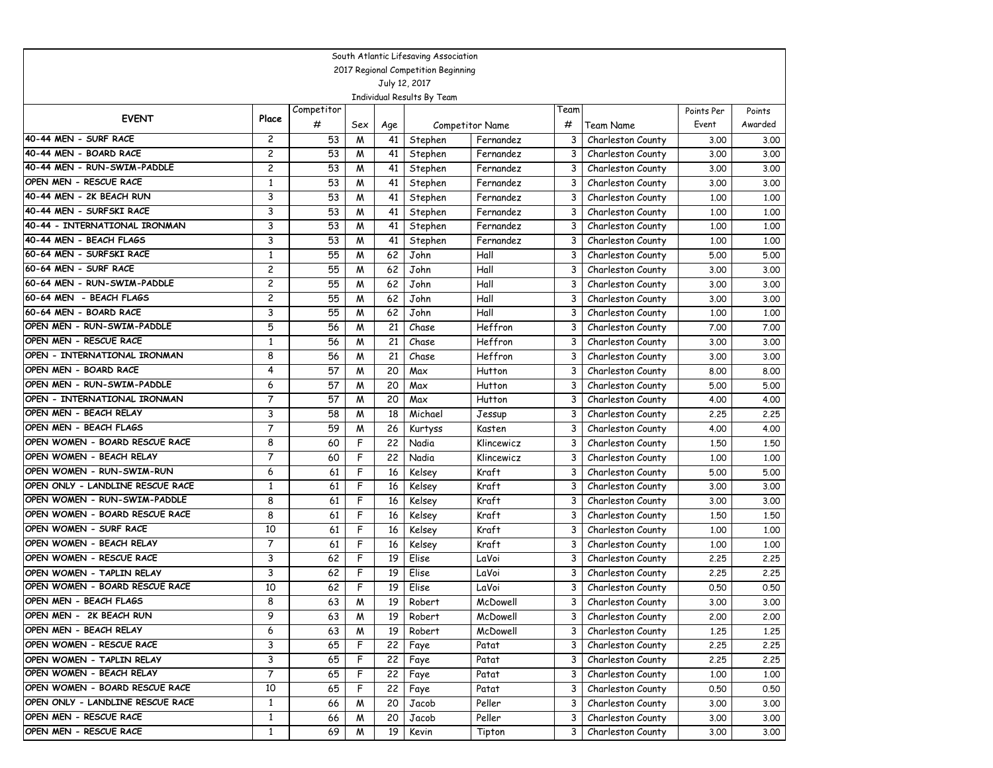|                                                    |                   |            |        |          | South Atlantic Lifesaving Association |                  |              |                                        |              |              |
|----------------------------------------------------|-------------------|------------|--------|----------|---------------------------------------|------------------|--------------|----------------------------------------|--------------|--------------|
|                                                    |                   |            |        |          | 2017 Regional Competition Beginning   |                  |              |                                        |              |              |
|                                                    |                   |            |        |          | July 12, 2017                         |                  |              |                                        |              |              |
|                                                    |                   |            |        |          | Individual Results By Team            |                  |              |                                        |              |              |
| <b>EVENT</b>                                       | Place             | Competitor |        |          |                                       |                  | Team         |                                        | Points Per   | Points       |
| 40-44 MEN - SURF RACE                              |                   | #          | Sex    | Age      |                                       | Competitor Name  | #            | Team Name                              | Event        | Awarded      |
| 40-44 MEN - BOARD RACE                             | $\overline{c}$    | 53         | M      | 41       | Stephen                               | Fernandez        | 3            | Charleston County                      | 3.00         | 3.00         |
|                                                    | $\overline{c}$    | 53         | M      | 41       | Stephen                               | Fernandez        | 3            | Charleston County                      | 3.00         | 3.00         |
| 40-44 MEN - RUN-SWIM-PADDLE                        | $\overline{c}$    | 53         | M      | 41       | Stephen                               | Fernandez        | 3            | Charleston County                      | 3.00         | 3.00         |
| OPEN MEN - RESCUE RACE<br>40-44 MEN - 2K BEACH RUN | $\mathbf{1}$<br>3 | 53         | M      | 41       | Stephen                               | Fernandez        | 3            | Charleston County                      | 3.00         | 3.00         |
| 40-44 MEN - SURFSKI RACE                           | 3                 | 53         | M      | 41       | Stephen                               | Fernandez        | 3            | Charleston County                      | 1,00         | 1,00         |
| 40-44 - INTERNATIONAL IRONMAN                      |                   | 53         | M      | 41       | Stephen                               | Fernandez        | 3            | Charleston County                      | 1,00         | 1,00         |
| 40-44 MEN - BEACH FLAGS                            | 3                 | 53         | M      | 41       | Stephen                               | Fernandez        | 3            | Charleston County                      | 1,00         | 1,00         |
| 60-64 MEN - SURFSKI RACE                           | 3<br>$\mathbf{1}$ | 53         | M      | 41       | Stephen                               | Fernandez        | 3            | Charleston County                      | 1,00         | 1,00         |
| 60-64 MEN - SURF RACE                              |                   | 55         | M      | 62       | John                                  | Hall             | 3            | Charleston County                      | 5.00         | 5.00         |
| 60-64 MEN - RUN-SWIM-PADDLE                        | 2                 | 55         | M      | 62       | John                                  | Hall             | 3            | Charleston County                      | 3.00         | 3.00         |
| 60-64 MEN - BEACH FLAGS                            | $\overline{c}$    | 55         | M      | 62       | John<br>John                          | Hall             | 3            | Charleston County                      | 3.00         | 3.00         |
| 60-64 MEN - BOARD RACE                             | 2<br>3            | 55         | M      | 62       |                                       | Hall             | 3            | Charleston County                      | 3.00         | 3.00         |
| OPEN MEN - RUN-SWIM-PADDLE                         | 5                 | 55<br>56   | M      | 62<br>21 | John                                  | Hall<br>Heffron  | 3            | Charleston County<br>Charleston County | 1,00         | 1,00         |
| OPEN MEN - RESCUE RACE                             | 1                 | 56         | M      | 21       | Chase                                 | Heffron          | 3            | Charleston County                      | 7.00         | 7.00         |
| OPEN - INTERNATIONAL IRONMAN                       | 8                 | 56         | M      | 21       | Chase                                 | Heffron          | 3<br>3       |                                        | 3.00         | 3.00         |
| OPEN MEN - BOARD RACE                              | 4                 | 57         | M      | 20       | Chase                                 |                  | 3            | Charleston County                      | 3.00         | 3.00         |
| OPEN MEN - RUN-SWIM-PADDLE                         | 6                 |            | M      | 20       | Max                                   | Hutton           |              | Charleston County                      | 8.00         | 8.00         |
| OPEN - INTERNATIONAL IRONMAN                       | $\overline{7}$    | 57<br>57   | M      | 20       | Max<br>Max                            | Hutton<br>Hutton | 3<br>3       | Charleston County                      | 5.00         | 5.00         |
| OPEN MEN - BEACH RELAY                             | 3                 | 58         | M<br>M | 18       | Michael                               |                  | 3            | Charleston County                      | 4.00<br>2.25 | 4.00<br>2.25 |
| OPEN MEN - BEACH FLAGS                             | $\overline{7}$    | 59         | M      | 26       |                                       | Jessup<br>Kasten | 3            | Charleston County<br>Charleston County |              | 4.00         |
| OPEN WOMEN - BOARD RESCUE RACE                     | 8                 | 60         | F      | 22       | Kurtyss<br>Nadia                      | Klincewicz       | 3            | Charleston County                      | 4.00<br>1,50 | 1,50         |
| OPEN WOMEN - BEACH RELAY                           | $\overline{7}$    | 60         | F      | 22       | Nadia                                 | Klincewicz       | 3            | Charleston County                      | 1,00         | 1,00         |
| OPEN WOMEN - RUN-SWIM-RUN                          | 6                 | 61         | F      | 16       | Kelsey                                | <b>Kraft</b>     | 3            | Charleston County                      | 5.00         | 5.00         |
| OPEN ONLY - LANDLINE RESCUE RACE                   | 1                 | 61         | F      | 16       | Kelsey                                | Kraft            | 3            | Charleston County                      | 3.00         | 3.00         |
| OPEN WOMEN - RUN-SWIM-PADDLE                       | 8                 | 61         | F      | 16       | Kelsey                                | Kraft            | 3            | Charleston County                      | 3.00         | 3.00         |
| OPEN WOMEN - BOARD RESCUE RACE                     | 8                 | 61         | F      | 16       | Kelsey                                | Kraft            | 3            | Charleston County                      | 1,50         | 1,50         |
| OPEN WOMEN - SURF RACE                             | 10                | 61         | F      | 16       | Kelsey                                | Kraft            | 3            | Charleston County                      | 1,00         | 1,00         |
| OPEN WOMEN - BEACH RELAY                           | $\overline{7}$    | 61         | F      | 16       | Kelsey                                | <b>Kraft</b>     | 3            | Charleston County                      | 1,00         | 1,00         |
| OPEN WOMEN - RESCUE RACE                           | 3                 | 62         | F      | 19       | Elise                                 | LaVoi            | 3            | Charleston County                      | 2.25         | 2.25         |
| OPEN WOMEN - TAPLIN RELAY                          | 3                 | 62         | F      | 19       | Elise                                 | LaVoi            | 3            | Charleston County                      | 2.25         | 2.25         |
| OPEN WOMEN - BOARD RESCUE RACE                     | 10                | 62         | F      | 19       | Elise                                 | LaVoi            | 3            | Charleston County                      | 0.50         | 0.50         |
| OPEN MEN - BEACH FLAGS                             | 8                 | 63         | M      | 19       | Robert                                | McDowell         | 3            | Charleston County                      | 3.00         | 3.00         |
| OPEN MEN - 2K BEACH RUN                            | 9                 | 63         | M      | 19       | Robert                                | McDowell         | 3            | Charleston County                      | 2.00         | 2.00         |
| OPEN MEN - BEACH RELAY                             | 6                 | 63         | M      | 19       | Robert                                | McDowell         | 3            | Charleston County                      | 1.25         | 1.25         |
| OPEN WOMEN - RESCUE RACE                           | 3                 | 65         | F      | 22       | Faye                                  | Patat            | $\mathbf{3}$ | Charleston County                      | 2.25         | 2.25         |
| OPEN WOMEN - TAPLIN RELAY                          | 3                 | 65         | F      | 22       | Faye                                  | Patat            | 3            | Charleston County                      | 2.25         | 2.25         |
| OPEN WOMEN - BEACH RELAY                           | $\overline{7}$    | 65         | F      | 22       | Faye                                  | Patat            | 3            | Charleston County                      | 1.00         | 1.00         |
| OPEN WOMEN - BOARD RESCUE RACE                     | 10                | 65         | F      | 22       | Faye                                  | Patat            | 3            | Charleston County                      | 0.50         | 0.50         |
| OPEN ONLY - LANDLINE RESCUE RACE                   | 1                 | 66         | M      | 20       | Jacob                                 | Peller           | 3            | Charleston County                      | 3.00         | 3.00         |
| OPEN MEN - RESCUE RACE                             | 1                 | 66         | M      | 20       | Jacob                                 | Peller           | 3            | Charleston County                      | 3.00         | 3.00         |
| OPEN MEN - RESCUE RACE                             | 1                 | 69         | M      | 19       | Kevin                                 | Tipton           | 3            | Charleston County                      | 3.00         | 3.00         |
|                                                    |                   |            |        |          |                                       |                  |              |                                        |              |              |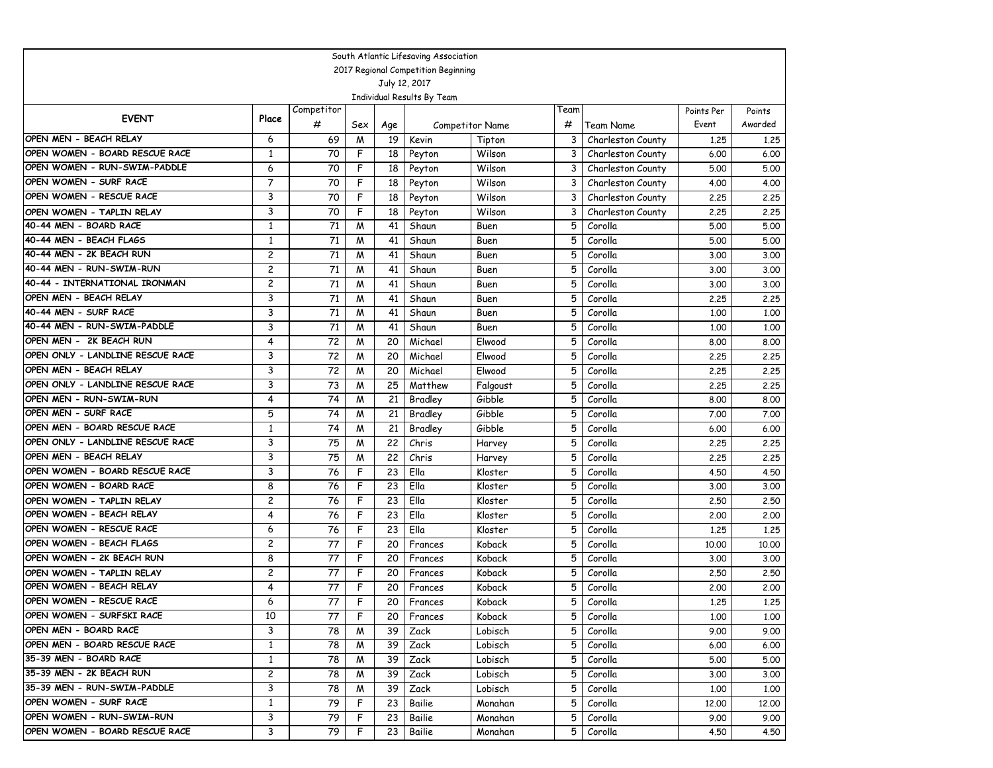|                                                            |                |            |        |          | South Atlantic Lifesaving Association |                    |        |                    |              |              |
|------------------------------------------------------------|----------------|------------|--------|----------|---------------------------------------|--------------------|--------|--------------------|--------------|--------------|
|                                                            |                |            |        |          | 2017 Regional Competition Beginning   |                    |        |                    |              |              |
|                                                            |                |            |        |          | July 12, 2017                         |                    |        |                    |              |              |
|                                                            |                |            |        |          | Individual Results By Team            |                    |        |                    |              |              |
| <b>EVENT</b>                                               | Place          | Competitor |        |          |                                       |                    | Team   |                    | Points Per   | Points       |
|                                                            |                | #          | Sex    | Age      |                                       | Competitor Name    | #      | Team Name          | Event        | Awarded      |
| OPEN MEN - BEACH RELAY                                     | 6              | 69         | M      | 19       | Kevin                                 | Tipton             | 3      | Charleston County  | 1,25         | 1.25         |
| OPEN WOMEN - BOARD RESCUE RACE                             | 1              | 70         | F      | 18       | Peyton                                | Wilson             | 3      | Charleston County  | 6.00         | 6.00         |
| OPEN WOMEN - RUN-SWIM-PADDLE                               | 6              | 70         | F      | 18       | Peyton                                | Wilson             | 3      | Charleston County  | 5.00         | 5.00         |
| OPEN WOMEN - SURF RACE                                     | $\overline{7}$ | 70         | F      | 18       | Peyton                                | Wilson             | 3      | Charleston County  | 4.00         | 4.00         |
| OPEN WOMEN - RESCUE RACE                                   | 3              | 70         | F      | 18       | Peyton                                | Wilson             | 3      | Charleston County  | 2.25         | 2.25         |
| OPEN WOMEN - TAPLIN RELAY                                  | 3              | 70         | F      | 18       | Peyton                                | Wilson             | 3      | Charleston County  | 2.25         | 2,25         |
| 40-44 MEN - BOARD RACE                                     | $\mathbf{1}$   | 71         | M      | 41       | Shaun                                 | Buen               | 5      | Corolla            | 5.00         | 5.00         |
| 40-44 MEN - BEACH FLAGS<br>40-44 MEN - 2K BEACH RUN        | $\mathbf{1}$   | 71         | M      | 41       | Shaun                                 | Buen               | 5      | Corolla            | 5.00         | 5.00         |
|                                                            | $\overline{c}$ | 71         | W      | 41       | Shaun                                 | Buen               | 5      | Corolla            | 3.00         | 3.00         |
| 40-44 MEN - RUN-SWIM-RUN                                   | $\overline{c}$ | 71         | M      | 41       | Shaun                                 | Buen               | 5      | Corolla            | 3.00         | 3.00         |
| 40-44 - INTERNATIONAL IRONMAN                              | $\overline{c}$ | 71         | W      | 41       | Shaun                                 | Buen               | 5      | Corolla            | 3.00         | 3.00         |
| OPEN MEN - BEACH RELAY<br>40-44 MEN - SURF RACE            | 3              | 71         | M      | 41       | Shaun                                 | Buen               | 5      | Corolla            | 2.25         | 2.25         |
| 40-44 MEN - RUN-SWIM-PADDLE                                | 3              | 71         | M      | 41       | Shaun                                 | Buen               | 5      | Corolla            | 1,00         | 1,00         |
| OPEN MEN - 2K BEACH RUN                                    | 3<br>4         | 71         | M      | 41       | Shaun                                 | Buen               | 5      | Corolla            | 1,00         | 1,00         |
|                                                            |                | 72         | M      | 20       | Michael                               | Elwood             | 5      | Corolla            | 8.00         | 8.00         |
| OPEN ONLY - LANDLINE RESCUE RACE<br>OPEN MEN - BEACH RELAY | 3              | 72         | M      | 20       | Michael                               | Elwood             | 5      | Corolla            | 2.25         | 2.25         |
| OPEN ONLY - LANDLINE RESCUE RACE                           | 3              | 72         | W      | 20       | Michael                               | Elwood             | 5      | Corolla            | 2.25         | 2.25         |
| OPEN MEN - RUN-SWIM-RUN                                    | 3              | 73         | M      | 25       | Matthew                               | Falgoust           | 5      | Corolla            | 2.25         | 2.25         |
| OPEN MEN - SURF RACE                                       | 4<br>5         | 74         | M      | 21       | Bradley                               | Gibble             | 5      | Corolla            | 8.00         | 8.00         |
| OPEN MEN - BOARD RESCUE RACE                               |                | 74         | M      | 21       | Bradley                               | Gibble             | 5      | Corolla            | 7.00         | 7.00         |
| OPEN ONLY - LANDLINE RESCUE RACE                           | 1<br>3         | 74<br>75   | M      | 21<br>22 | Bradley<br>Chris                      | Gibble             | 5<br>5 | Corolla            | 6.00         | 6.00         |
| OPEN MEN - BEACH RELAY                                     |                | 75         | W      | 22       |                                       | Harvey             | 5      | Corolla            | 2.25         | 2.25         |
| OPEN WOMEN - BOARD RESCUE RACE                             | 3<br>3         | 76         | W<br>F | 23       | Chris<br>Ella                         | Harvey             | 5      | Corolla            | 2.25         | 2.25         |
| OPEN WOMEN - BOARD RACE                                    | 8              | 76         | F      | 23       | Ella                                  | Kloster            | 5      | Corolla            | 4.50         | 4.50         |
|                                                            | $\overline{c}$ | 76         | F      | 23       | Ella                                  | Kloster<br>Kloster | 5      | Corolla<br>Corolla | 3.00         | 3.00         |
| OPEN WOMEN - TAPLIN RELAY<br>OPEN WOMEN - BEACH RELAY      | 4              | 76         | F      | 23       | Ella                                  | Kloster            | 5      | Corolla            | 2.50<br>2,00 | 2.50<br>2,00 |
| OPEN WOMEN - RESCUE RACE                                   | 6              | 76         | F      | 23       | Ella                                  | Kloster            | 5      | Corolla            | 1,25         | 1,25         |
| OPEN WOMEN - BEACH FLAGS                                   | $\overline{c}$ | 77         | F      | 20       | Frances                               | Koback             | 5      | Corolla            | 10.00        | 10.00        |
| OPEN WOMEN - 2K BEACH RUN                                  | 8              | 77         | F      | 20       | Frances                               | Koback             | 5      | Corolla            | 3.00         | 3.00         |
| OPEN WOMEN - TAPLIN RELAY                                  | $\overline{c}$ | 77         | F      | 20       | Frances                               | Koback             | 5      | Corolla            | 2.50         | 2,50         |
| OPEN WOMEN - BEACH RELAY                                   | 4              | 77         | F      | 20       | Frances                               | Koback             | 5      | Corolla            | 2,00         | 2.00         |
| OPEN WOMEN - RESCUE RACE                                   | 6              | 77         | F      | 20       | Frances                               | Koback             | 5      | Corolla            | 1,25         | 1,25         |
| OPEN WOMEN - SURFSKI RACE                                  | 10             | 77         | F      | 20 I     | Frances                               | Koback             | 5.     | Corolla            | 1.00         | 1.00         |
| OPEN MEN - BOARD RACE                                      | 3              | 78         | M      | 39       | Zack                                  | Lobisch            | 5      | Corolla            | 9.00         | 9.00         |
| OPEN MEN - BOARD RESCUE RACE                               | $\mathbf{1}$   | 78         | M      | 39       | Zack                                  | Lobisch            | 5      | Corolla            | 6.00         | 6.00         |
| 35-39 MEN - BOARD RACE                                     | 1              | 78         | M      | 39       | Zack                                  | Lobisch            | 5.     | Corolla            | 5.00         | 5.00         |
| 35-39 MEN - 2K BEACH RUN                                   | 2              | 78         | M      | 39       | Zack                                  | Lobisch            | 5      | Corolla            | 3.00         | 3.00         |
| 35-39 MEN - RUN-SWIM-PADDLE                                | 3              | 78         | M      | 39       | Zack                                  | Lobisch            | 5      | Corolla            | 1,00         | 1.00         |
| OPEN WOMEN - SURF RACE                                     | $\mathbf{1}$   | 79         | F.     | 23       | Bailie                                | Monahan            | 5      | Corolla            | 12.00        | 12.00        |
| OPEN WOMEN - RUN-SWIM-RUN                                  | 3              | 79         | F      | 23       | Bailie                                | Monahan            | 5      | Corolla            | 9.00         | 9.00         |
| OPEN WOMEN - BOARD RESCUE RACE                             | 3              | 79         | F      | 23       | Bailie                                | Monahan            | 5      | Corolla            | 4.50         | 4.50         |
|                                                            |                |            |        |          |                                       |                    |        |                    |              |              |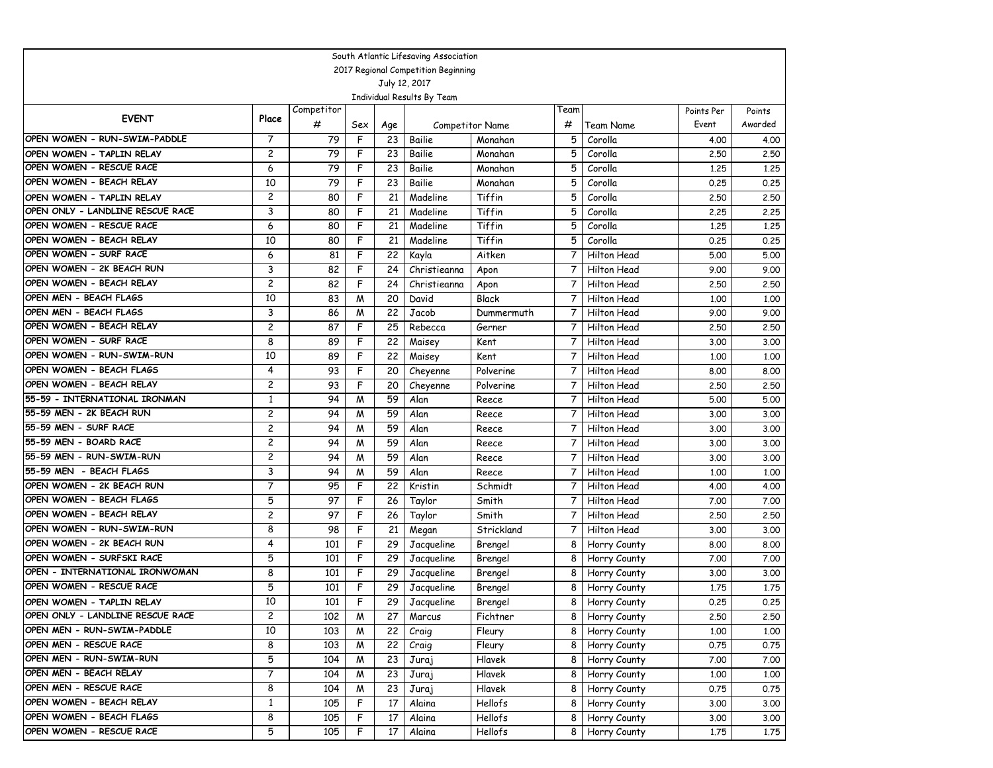|                                  |                |                 |     |                 | South Atlantic Lifesaving Association |                 |      |                    |            |         |
|----------------------------------|----------------|-----------------|-----|-----------------|---------------------------------------|-----------------|------|--------------------|------------|---------|
|                                  |                |                 |     |                 | 2017 Regional Competition Beginning   |                 |      |                    |            |         |
|                                  |                |                 |     |                 | July 12, 2017                         |                 |      |                    |            |         |
|                                  |                |                 |     |                 | Individual Results By Team            |                 |      |                    |            |         |
| <b>EVENT</b>                     | Place          | Competitor      |     |                 |                                       |                 | Team |                    | Points Per | Points  |
|                                  |                | #               | Sex | Age             |                                       | Competitor Name | #    | Team Name          | Event      | Awarded |
| OPEN WOMEN - RUN-SWIM-PADDLE     | $\overline{7}$ | 79              | F   | 23              | Bailie                                | Monahan         | 5    | Corolla            | 4.00       | 4.00    |
| OPEN WOMEN - TAPLIN RELAY        | $\overline{c}$ | 79              | F   | 23              | Bailie                                | Monahan         | 5    | Corolla            | 2.50       | 2.50    |
| OPEN WOMEN - RESCUE RACE         | 6              | $\overline{79}$ | F   | 23              | Bailie                                | Monahan         | 5    | Corolla            | 1.25       | 1,25    |
| OPEN WOMEN - BEACH RELAY         | 10             | $\overline{79}$ | F   | $\overline{23}$ | Bailie                                | Monahan         | 5    | Corolla            | 0.25       | 0.25    |
| OPEN WOMEN - TAPLIN RELAY        | 2              | 80              | F   | 21              | Madeline                              | Tiffin          | 5    | Corolla            | 2.50       | 2.50    |
| OPEN ONLY - LANDLINE RESCUE RACE | 3              | 80              | F   | 21              | Madeline                              | Tiffin          | 5    | Corolla            | 2.25       | 2.25    |
| OPEN WOMEN - RESCUE RACE         | 6              | 80              | F   | 21              | Madeline                              | Tiffin          | 5    | Corolla            | 1,25       | 1,25    |
| OPEN WOMEN - BEACH RELAY         | 10             | 80              | F   | 21              | Madeline                              | Tiffin          | 5    | Corolla            | 0.25       | 0.25    |
| OPEN WOMEN - SURF RACE           | 6              | 81              | F   | 22              | Kayla                                 | Aitken          | 7    | Hilton Head        | 5.00       | 5.00    |
| OPEN WOMEN - 2K BEACH RUN        | 3              | 82              | F   | 24              | Christieanna                          | Apon            | 7    | Hilton Head        | 9.00       | 9.00    |
| OPEN WOMEN - BEACH RELAY         | $\overline{c}$ | 82              | F   | 24              | Christieanna                          | Apon            | 7    | Hilton Head        | 2.50       | 2.50    |
| OPEN MEN - BEACH FLAGS           | 10             | 83              | M   | 20              | David                                 | <b>Black</b>    | 7    | <b>Hilton Head</b> | 1.00       | 1.00    |
| OPEN MEN - BEACH FLAGS           | 3              | 86              | M   | 22              | Jacob                                 | Dummermuth      | 7    | Hilton Head        | 9.00       | 9.00    |
| OPEN WOMEN - BEACH RELAY         | $\overline{c}$ | 87              | F   | 25              | Rebecca                               | Gerner          | 7    | Hilton Head        | 2.50       | 2.50    |
| OPEN WOMEN - SURF RACE           | 8              | 89              | F   | 22              | Maisey                                | Kent            | 7    | Hilton Head        | 3.00       | 3.00    |
| OPEN WOMEN - RUN-SWIM-RUN        | 10             | 89              | F   | 22              | Maisey                                | Kent            | 7    | Hilton Head        | 1.00       | 1.00    |
| OPEN WOMEN - BEACH FLAGS         | 4              | 93              | F   | 20              | Cheyenne                              | Polverine       | 7    | Hilton Head        | 8.00       | 8.00    |
| OPEN WOMEN - BEACH RELAY         | 2              | 93              | F   | 20              | Cheyenne                              | Polverine       | 7    | Hilton Head        | 2.50       | 2.50    |
| 55-59 - INTERNATIONAL IRONMAN    | $\mathbf{1}$   | 94              | M   | 59              | Alan                                  | Reece           | 7    | <b>Hilton Head</b> | 5.00       | 5.00    |
| 55-59 MEN - 2K BEACH RUN         | $\overline{c}$ | 94              | M   | 59              | Alan                                  | Reece           | 7    | Hilton Head        | 3.00       | 3.00    |
| 55-59 MEN - SURF RACE            | $\overline{c}$ | 94              | W   | 59              | Alan                                  | Reece           | 7    | <b>Hilton Head</b> | 3.00       | 3.00    |
| 55-59 MEN - BOARD RACE           | $\overline{c}$ | 94              | W   | 59              | Alan                                  | Reece           |      | Hilton Head        | 3.00       | 3.00    |
| 55-59 MEN - RUN-SWIM-RUN         | $\overline{c}$ | 94              | M   | 59              | Alan                                  | Reece           | 7    | Hilton Head        | 3.00       | 3.00    |
| 55-59 MEN - BEACH FLAGS          | 3              | 94              | W   | 59              | Alan                                  | Reece           | 7    | Hilton Head        | 1.00       | 1.00    |
| OPEN WOMEN - 2K BEACH RUN        | $\overline{7}$ | 95              | F   | 22              | Kristin                               | Schmidt         | 7    | <b>Hilton Head</b> | 4.00       | 4.00    |
| OPEN WOMEN - BEACH FLAGS         | 5              | 97              | F   | 26              | Taylor                                | Smith           |      | Hilton Head        | 7.00       | 7.00    |
| OPEN WOMEN - BEACH RELAY         | $\overline{c}$ | 97              | F   | 26              | Taylor                                | Smith           | 7    | Hilton Head        | 2.50       | 2.50    |
| OPEN WOMEN - RUN-SWIM-RUN        | 8              | 98              | F   | 21              | Megan                                 | Strickland      | 7    | Hilton Head        | 3.00       | 3.00    |
| OPEN WOMEN - 2K BEACH RUN        | 4              | 101             | F   | 29              | Jacqueline                            | Brengel         | 8    | Horry County       | 8.00       | 8.00    |
| OPEN WOMEN - SURFSKI RACE        | 5              | 101             | F   | 29              | Jacqueline                            | Brengel         | 8    | Horry County       | 7.00       | 7.00    |
| OPEN - INTERNATIONAL IRONWOMAN   | 8              | 101             | F   | 29              | Jacqueline                            | Brengel         | 8    | Horry County       | 3.00       | 3.00    |
| OPEN WOMEN - RESCUE RACE         | 5              | 101             | F   | 29              | Jacqueline                            | Brengel         | 8    | Horry County       | 1.75       | 1.75    |
| OPEN WOMEN - TAPLIN RELAY        | 10             | 101             | F   | 29              | Jacqueline                            | Brengel         | 8    | Horry County       | 0.25       | 0.25    |
| OPEN ONLY - LANDLINE RESCUE RACE | 2              | 102             | M   | 27              | Marcus                                | Fichtner        |      | 8 Horry County     | 2.50       | 2.50    |
| OPEN MEN - RUN-SWIM-PADDLE       | 10             | 103             | M   | 22              | Craig                                 | Fleury          |      | 8 Horry County     | 1.00       | 1.00    |
| OPEN MEN - RESCUE RACE           | 8              | 103             | M   | 22              | Craig                                 | Fleury          |      | 8 Horry County     | 0.75       | 0.75    |
| OPEN MEN - RUN-SWIM-RUN          | 5              | 104             | M   | 23              | Juraj                                 | Hlavek          | 8    | Horry County       | 7.00       | 7.00    |
| OPEN MEN - BEACH RELAY           | 7              | 104             | M   | 23              | Juraj                                 | Hlavek          | 8    | Horry County       | 1.00       | 1.00    |
| OPEN MEN - RESCUE RACE           | 8              | 104             | M   | 23              | Juraj                                 | Hlavek          | 8    | Horry County       | 0.75       | 0.75    |
| OPEN WOMEN - BEACH RELAY         | $\mathbf{1}$   | 105             | F   | 17              | Alaina                                | Hellofs         | 8    | Horry County       | 3.00       | 3.00    |
| OPEN WOMEN - BEACH FLAGS         | 8              | 105             | F   | 17              | Alaina                                | Hellofs         | 8    | Horry County       | 3.00       | 3.00    |
| OPEN WOMEN - RESCUE RACE         | 5              | 105             | F   | 17              | Alaina                                | Hellofs         |      | 8 Horry County     | 1.75       | 1.75    |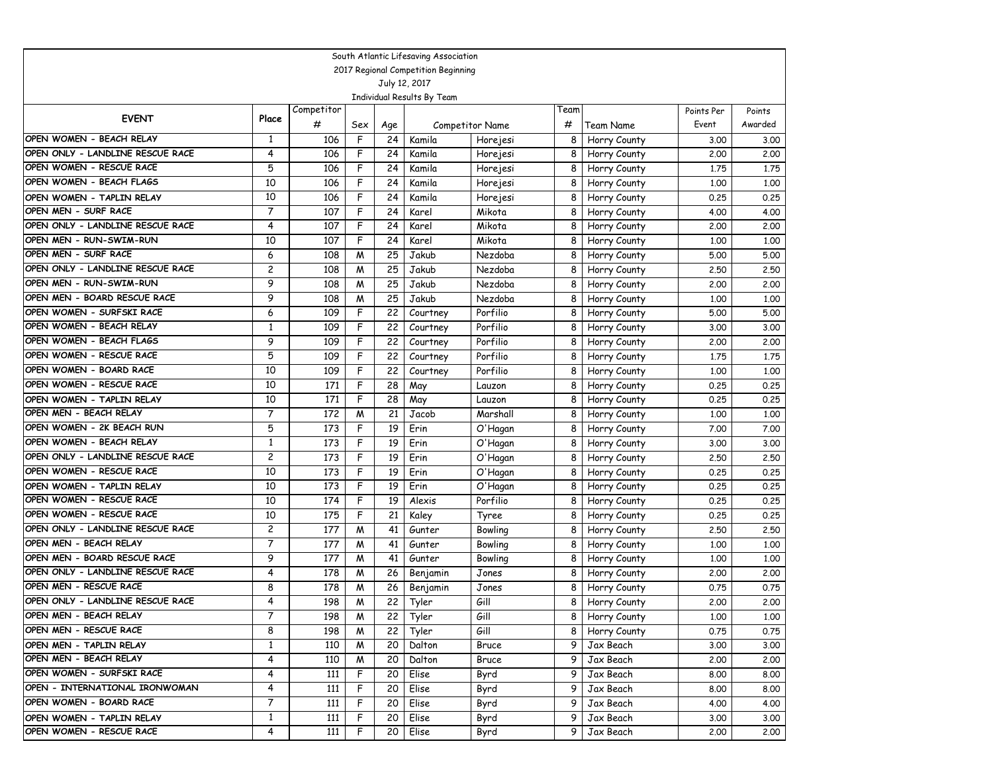|                                  |                |            |     |     | South Atlantic Lifesaving Association |                 |      |                |            |         |
|----------------------------------|----------------|------------|-----|-----|---------------------------------------|-----------------|------|----------------|------------|---------|
|                                  |                |            |     |     | 2017 Regional Competition Beginning   |                 |      |                |            |         |
|                                  |                |            |     |     | July 12, 2017                         |                 |      |                |            |         |
|                                  |                |            |     |     | Individual Results By Team            |                 |      |                |            |         |
| <b>EVENT</b>                     | Place          | Competitor |     |     |                                       |                 | Team |                | Points Per | Points  |
|                                  |                | #          | Sex | Age |                                       | Competitor Name | #    | Team Name      | Event      | Awarded |
| OPEN WOMEN - BEACH RELAY         | 1              | 106        | F   | 24  | Kamila                                | Horejesi        | 8    | Horry County   | 3.00       | 3.00    |
| OPEN ONLY - LANDLINE RESCUE RACE | 4              | 106        | F   | 24  | Kamila                                | Horejesi        | 8    | Horry County   | 2.00       | 2.00    |
| OPEN WOMEN - RESCUE RACE         | 5              | 106        | F   | 24  | Kamila                                | Horejesi        | 8    | Horry County   | 1.75       | 1.75    |
| OPEN WOMEN - BEACH FLAGS         | 10             | 106        | F   | 24  | Kamila                                | Horejesi        | 8    | Horry County   | 1,00       | 1.00    |
| OPEN WOMEN - TAPLIN RELAY        | 10             | 106        | F   | 24  | Kamila                                | Horejesi        | 8    | Horry County   | 0.25       | 0.25    |
| OPEN MEN - SURF RACE             | $\overline{7}$ | 107        | F   | 24  | Karel                                 | Mikota          | 8    | Horry County   | 4.00       | 4.00    |
| OPEN ONLY - LANDLINE RESCUE RACE | 4              | 107        | F   | 24  | Karel                                 | Mikota          | 8    | Horry County   | 2.00       | 2.00    |
| OPEN MEN - RUN-SWIM-RUN          | 10             | 107        | F   | 24  | Karel                                 | Mikota          | 8    | Horry County   | 1,00       | 1.00    |
| OPEN MEN - SURF RACE             | 6              | 108        | M   | 25  | Jakub                                 | Nezdoba         | 8    | Horry County   | 5.00       | 5.00    |
| OPEN ONLY - LANDLINE RESCUE RACE | $\overline{c}$ | 108        | M   | 25  | Jakub                                 | Nezdoba         | 8    | Horry County   | 2.50       | 2.50    |
| OPEN MEN - RUN-SWIM-RUN          | 9              | 108        | M   | 25  | Jakub                                 | Nezdoba         | 8    | Horry County   | 2.00       | 2.00    |
| OPEN MEN - BOARD RESCUE RACE     | 9              | 108        | M   | 25  | Jakub                                 | Nezdoba         | 8    | Horry County   | 1.00       | 1.00    |
| OPEN WOMEN - SURFSKI RACE        | 6              | 109        | F   | 22  | Courtney                              | Porfilio        | 8    | Horry County   | 5.00       | 5.00    |
| OPEN WOMEN - BEACH RELAY         | $\mathbf{1}$   | 109        | F   | 22  | Courtney                              | Porfilio        | 8    | Horry County   | 3.00       | 3.00    |
| OPEN WOMEN - BEACH FLAGS         | 9              | 109        | F   | 22  | Courtney                              | Porfilio        | 8    | Horry County   | 2.00       | 2.00    |
| OPEN WOMEN - RESCUE RACE         | 5              | 109        | F   | 22  | Courtney                              | Porfilio        | 8    | Horry County   | 1.75       | 1.75    |
| OPEN WOMEN - BOARD RACE          | 10             | 109        | F   | 22  | Courtney                              | Porfilio        | 8    | Horry County   | 1.00       | 1.00    |
| OPEN WOMEN - RESCUE RACE         | 10             | 171        | F   | 28  | May                                   | Lauzon          | 8    | Horry County   | 0.25       | 0.25    |
| OPEN WOMEN - TAPLIN RELAY        | 10             | 171        | F   | 28  | May                                   | Lauzon          | 8    | Horry County   | 0.25       | 0.25    |
| OPEN MEN - BEACH RELAY           | $\overline{7}$ | 172        | W   | 21  | Jacob                                 | Marshall        | 8    | Horry County   | 1.00       | 1.00    |
| OPEN WOMEN - 2K BEACH RUN        | 5              | 173        | F   | 19  | Erin                                  | O'Hagan         | 8    | Horry County   | 7.00       | 7.00    |
| OPEN WOMEN - BEACH RELAY         | $\mathbf{1}$   | 173        | F   | 19  | Erin                                  | O'Hagan         | 8    | Horry County   | 3.00       | 3.00    |
| OPEN ONLY - LANDLINE RESCUE RACE | $\overline{c}$ | 173        | F   | 19  | Erin                                  | O'Hagan         | 8    | Horry County   | 2.50       | 2.50    |
| OPEN WOMEN - RESCUE RACE         | 10             | 173        | F   | 19  | Erin                                  | O'Hagan         | 8    | Horry County   | 0.25       | 0.25    |
| OPEN WOMEN - TAPLIN RELAY        | 10             | 173        | F   | 19  | Erin                                  | O'Hagan         | 8    | Horry County   | 0.25       | 0.25    |
| OPEN WOMEN - RESCUE RACE         | 10             | 174        | F   | 19  | Alexis                                | Porfilio        | 8    | Horry County   | 0.25       | 0.25    |
| OPEN WOMEN - RESCUE RACE         | 10             | 175        | F   | 21  | Kaley                                 | Tyree           | 8    | Horry County   | 0.25       | 0.25    |
| OPEN ONLY - LANDLINE RESCUE RACE | $\overline{c}$ | 177        | W   | 41  | Gunter                                | Bowling         | 8    | Horry County   | 2.50       | 2.50    |
| OPEN MEN - BEACH RELAY           | $\overline{7}$ | 177        | M   | 41  | Gunter                                | Bowling         | 8    | Horry County   | 1,00       | 1,00    |
| OPEN MEN - BOARD RESCUE RACE     | 9              | 177        | W   | 41  | Gunter                                | Bowling         | 8    | Horry County   | 1,00       | 1.00    |
| OPEN ONLY - LANDLINE RESCUE RACE | 4              | 178        | M   | 26  | Benjamin                              | Jones           | 8    | Horry County   | 2,00       | 2.00    |
| OPEN MEN - RESCUE RACE           | 8              | 178        | M   | 26  | Benjamin                              | Jones           | 8    | Horry County   | 0.75       | 0.75    |
| OPEN ONLY - LANDLINE RESCUE RACE | 4              | 198        | W   | 22  | Tyler                                 | Gill            | 8    | Horry County   | 2.00       | 2.00    |
| OPEN MEN - BEACH RELAY           | 7              | 198        | M   | 22  | Tyler                                 | Gill            |      | 8 Horry County | 1.00       | 1.00    |
| OPEN MEN - RESCUE RACE           | 8              | 198        | M   | 22  | Tyler                                 | Gill            |      | 8 Horry County | 0.75       | 0.75    |
| OPEN MEN - TAPLIN RELAY          | $\mathbf{1}$   | 110        | M   | 20  | Dalton                                | Bruce           | 9 I  | Jax Beach      | 3.00       | 3.00    |
| OPEN MEN - BEACH RELAY           | 4              | 110        | M   | 20  | Dalton                                | Bruce           | 9    | Jax Beach      | 2.00       | 2.00    |
| OPEN WOMEN - SURFSKI RACE        | 4              | 111        | F   | 20  | Elise                                 | Byrd            | 9    | Jax Beach      | 8.00       | 8.00    |
| OPEN - INTERNATIONAL IRONWOMAN   | 4              | 111        | F   | 20  | Elise                                 | Byrd            | 9    | Jax Beach      | 8.00       | 8.00    |
| OPEN WOMEN - BOARD RACE          | $\overline{7}$ | 111        | F.  | 20  | Elise                                 | Byrd            | 9    | Jax Beach      | 4.00       | 4.00    |
| OPEN WOMEN - TAPLIN RELAY        | $\mathbf{1}$   | 111        | F   | 20  | Elise                                 | Byrd            | 9    | Jax Beach      | 3.00       | 3.00    |
| OPEN WOMEN - RESCUE RACE         | 4              | 111        | F   | 20  | Elise                                 | Byrd            | 9 I  | Jax Beach      | 2.00       | 2.00    |
|                                  |                |            |     |     |                                       |                 |      |                |            |         |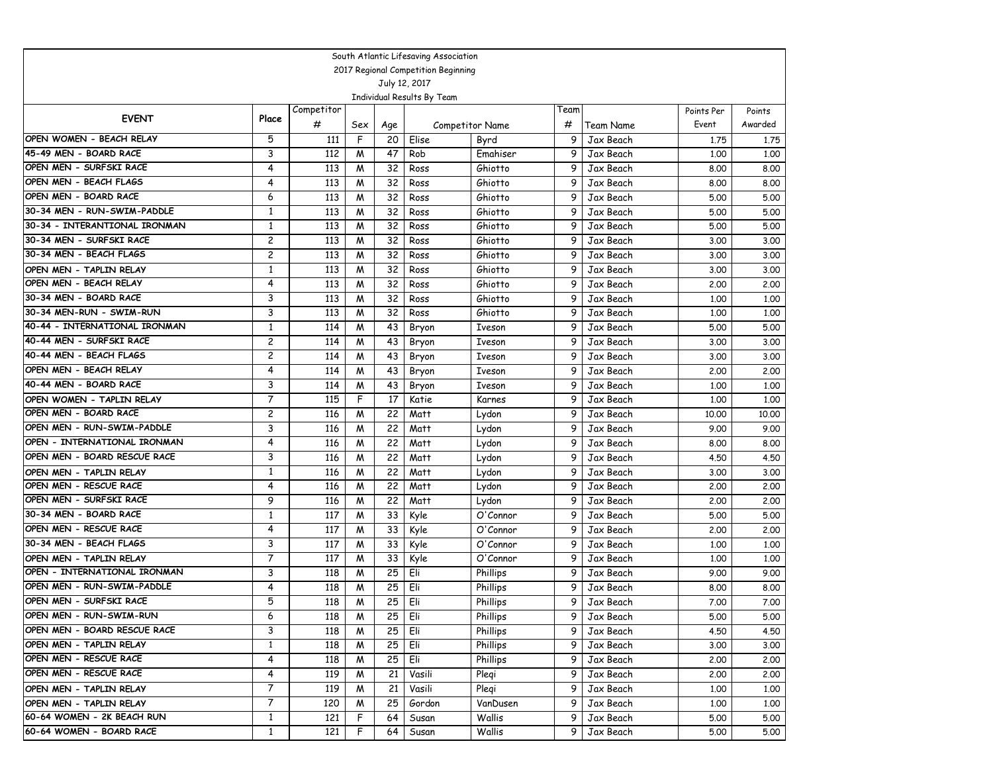|                                                              |                     |            |        |          | South Atlantic Lifesaving Association |                   |                |                        |              |              |
|--------------------------------------------------------------|---------------------|------------|--------|----------|---------------------------------------|-------------------|----------------|------------------------|--------------|--------------|
|                                                              |                     |            |        |          | 2017 Regional Competition Beginning   |                   |                |                        |              |              |
|                                                              |                     |            |        |          | July 12, 2017                         |                   |                |                        |              |              |
|                                                              |                     |            |        |          | Individual Results By Team            |                   |                |                        |              |              |
| <b>EVENT</b>                                                 | Place               | Competitor |        |          |                                       |                   | Team           |                        | Points Per   | Points       |
|                                                              |                     | #          | Sex    | Age      |                                       | Competitor Name   | #              | Team Name              | Event        | Awarded      |
| OPEN WOMEN - BEACH RELAY                                     | 5                   | 111        | F      | 20       | Elise                                 | Byrd              | 9              | Jax Beach              | 1.75         | 1.75         |
| 45-49 MEN - BOARD RACE                                       | 3                   | 112        | W      | 47       | Rob                                   | Emahiser          | 9              | Jax Beach              | 1,00         | 1,00         |
| OPEN MEN - SURFSKI RACE                                      | 4                   | 113        | M      | 32       | Ross                                  | Ghiotto           | 9              | Jax Beach              | 8.00         | 8.00         |
| OPEN MEN - BEACH FLAGS                                       | 4                   | 113        | M      | 32       | Ross                                  | Ghiotto           | 9              | Jax Beach              | 8.00         | 8.00         |
| OPEN MEN - BOARD RACE                                        | 6                   | 113        | M      | 32       | Ross                                  | Ghiotto           | 9              | Jax Beach              | 5.00         | 5.00         |
| 30-34 MEN - RUN-SWIM-PADDLE<br>30-34 - INTERANTIONAL IRONMAN | $\mathbf{1}$        | 113        | M      | 32       | Ross                                  | Ghiotto           | 9              | Jax Beach              | 5.00         | 5.00         |
|                                                              | $\mathbf{1}$        | 113        | M      | 32       | Ross                                  | Ghiotto           | 9              | Jax Beach              | 5.00         | 5.00         |
| 30-34 MEN - SURFSKI RACE<br>30-34 MEN - BEACH FLAGS          | $\overline{c}$      | 113        | W      | 32       | Ross                                  | Ghiotto           | 9              | Jax Beach              | 3.00         | 3.00         |
|                                                              | $\overline{c}$      | 113        | M      | 32       | Ross                                  | Ghiotto           | 9              | Jax Beach              | 3.00         | 3.00         |
| OPEN MEN - TAPLIN RELAY                                      | $\mathbf{1}$        | 113        | M      | 32       | Ross                                  | Ghiotto           | 9              | Jax Beach              | 3.00         | 3.00         |
| OPEN MEN - BEACH RELAY                                       | 4                   | 113        | M      | 32       | Ross                                  | Ghiotto           | 9              | Jax Beach              | 2.00         | 2.00         |
| 30-34 MEN - BOARD RACE<br>30-34 MEN-RUN - SWIM-RUN           | 3                   | 113        | M      | 32       | Ross                                  | Ghiotto           | 9              | Jax Beach              | 1.00         | 1.00         |
|                                                              | 3                   | 113        | M      | 32       | Ross                                  | Ghiotto           | 9              | Jax Beach              | 1,00         | 1.00         |
| 40-44 - INTERNATIONAL IRONMAN                                | $\mathbf{1}$        | 114        | M      | 43       | Bryon                                 | Iveson            | 9              | Jax Beach              | 5.00         | 5.00         |
| 40-44 MEN - SURFSKI RACE<br>40-44 MEN - BEACH FLAGS          | $\overline{c}$      | 114        | M      | 43       | Bryon                                 | Iveson            | 9              | Jax Beach              | 3.00         | 3.00         |
| OPEN MEN - BEACH RELAY                                       | $\overline{c}$      | 114        | M      | 43       | Bryon                                 | Iveson            | 9              | Jax Beach              | 3.00         | 3.00         |
|                                                              | 4                   | 114        | M      | 43       | Bryon                                 | Iveson            | 9              | Jax Beach              | 2.00         | 2.00         |
| 40-44 MEN - BOARD RACE                                       | 3                   | 114        | M      | 43       | Bryon                                 | Iveson            | 9              | Jax Beach              | 1,00         | 1.00         |
| OPEN WOMEN - TAPLIN RELAY<br>OPEN MEN - BOARD RACE           | $\overline{7}$      | 115        | F      | 17       | Katie                                 | Karnes            | 9              | Jax Beach              | 1,00         | 1.00         |
| OPEN MEN - RUN-SWIM-PADDLE                                   | $\overline{c}$<br>3 | 116        | W      | 22       | Matt                                  | Lydon             | 9              | Jax Beach              | 10.00        | 10.00        |
| OPEN - INTERNATIONAL IRONMAN                                 | 4                   | 116        | W      | 22<br>22 | Matt                                  | Lydon             | 9<br>9         | Jax Beach              | 9.00         | 9.00         |
| OPEN MEN - BOARD RESCUE RACE                                 |                     | 116        | W      | 22       | Matt                                  | Lydon             | 9              | Jax Beach              | 8.00         | 8.00         |
|                                                              | 3<br>$\mathbf{1}$   | 116        | W      | 22       | Matt                                  | Lydon             |                | Jax Beach              | 4.50         | 4.50         |
| OPEN MEN - TAPLIN RELAY<br>OPEN MEN - RESCUE RACE            | 4                   | 116        | W      | 22       | Matt                                  | Lydon             | 9              | Jax Beach              | 3.00         | 3.00         |
| OPEN MEN - SURFSKI RACE                                      | 9                   | 116<br>116 | M      | 22       | Matt                                  | Lydon             | 9<br>9         | Jax Beach              | 2.00         | 2,00         |
| 30-34 MEN - BOARD RACE                                       | $\mathbf{1}$        | 117        | M<br>W | 33       | Matt                                  | Lydon<br>O'Connor | 9              | Jax Beach              | 2.00         | 2.00         |
| OPEN MEN - RESCUE RACE                                       | 4                   |            |        | 33       | Kyle                                  | O'Connor          | 9              | Jax Beach              | 5.00         | 5.00         |
| 30-34 MEN - BEACH FLAGS                                      | 3                   | 117        | M      | 33       | Kyle                                  | O'Connor          |                | Jax Beach              | 2.00         | 2.00         |
| OPEN MEN - TAPLIN RELAY                                      | $\overline{7}$      | 117<br>117 | M<br>W | 33       | Kyle                                  | O'Connor          | 9<br>9         | Jax Beach<br>Jax Beach | 1,00<br>1,00 | 1,00<br>1.00 |
| OPEN - INTERNATIONAL IRONMAN                                 | 3                   | 118        | M      | 25       | Kyle<br>Eli                           | Phillips          | 9              | Jax Beach              | 9.00         | 9.00         |
| OPEN MEN - RUN-SWIM-PADDLE                                   | 4                   | 118        | M      | 25       | Eli                                   | Phillips          | 9              | Jax Beach              | 8.00         | 8.00         |
| OPEN MEN - SURFSKI RACE                                      | 5                   | 118        | W      | 25       | Eli                                   | Phillips          | 9              | Jax Beach              | 7.00         | 7.00         |
| OPEN MEN - RUN-SWIM-RUN                                      | 6                   | 118        | M      | 25       | Eli                                   | Phillips          | 9              | Jax Beach              | 5.00         | 5.00         |
| OPEN MEN - BOARD RESCUE RACE                                 | 3                   | 118        | M      | 25       | Eli                                   | Phillips          | 9 <sup>1</sup> | Jax Beach              | 4.50         | 4.50         |
| OPEN MEN - TAPLIN RELAY                                      | $\mathbf{1}$        | 118        | M      | 25       | Eli                                   | Phillips          | 9              | Jax Beach              | 3.00         | 3.00         |
| OPEN MEN - RESCUE RACE                                       | 4                   | 118        | M      | 25       | Eli                                   | Phillips          | 9              | Jax Beach              | 2.00         | 2.00         |
| OPEN MEN - RESCUE RACE                                       | 4                   | 119        |        | 21       | Vasili                                | Plegi             | 9              | Jax Beach              | 2.00         | 2.00         |
| OPEN MEN - TAPLIN RELAY                                      | 7                   | 119        | M<br>M | 21       | Vasili                                | Plegi             | 9              | Jax Beach              | 1,00         | 1.00         |
| OPEN MEN - TAPLIN RELAY                                      | $\overline{7}$      | 120        | M      | 25       | Gordon                                | VanDusen          | 9              | Jax Beach              | 1,00         | 1.00         |
| 60-64 WOMEN - 2K BEACH RUN                                   | $\mathbf{1}$        | 121        | F      | 64       | Susan                                 | Wallis            | 9              | Jax Beach              | 5.00         | 5.00         |
| 60-64 WOMEN - BOARD RACE                                     | $\mathbf{1}$        |            | F      |          |                                       | Wallis            | 9              |                        | 5.00         |              |
|                                                              |                     | 121        |        | 64       | Susan                                 |                   |                | Jax Beach              |              | 5.00         |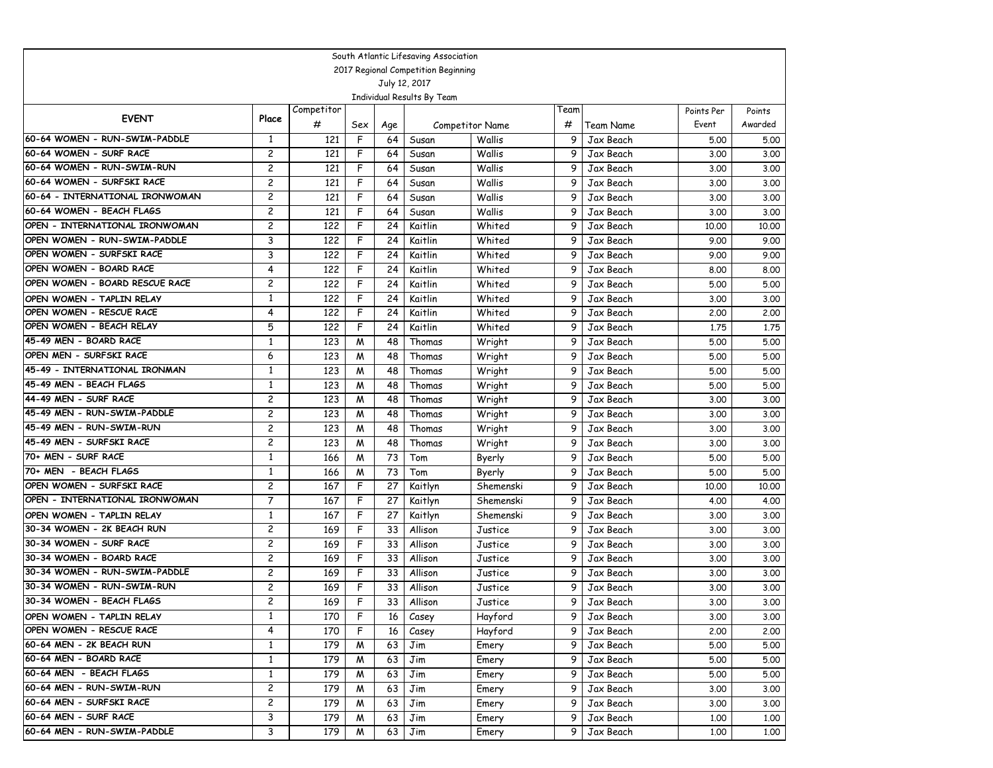|                                                       |                                  |            |        |          | South Atlantic Lifesaving Association |                     |                |                        |               |               |
|-------------------------------------------------------|----------------------------------|------------|--------|----------|---------------------------------------|---------------------|----------------|------------------------|---------------|---------------|
|                                                       |                                  |            |        |          | 2017 Regional Competition Beginning   |                     |                |                        |               |               |
|                                                       |                                  |            |        |          | July 12, 2017                         |                     |                |                        |               |               |
|                                                       |                                  |            |        |          | Individual Results By Team            |                     |                |                        |               |               |
| <b>EVENT</b>                                          | Place                            | Competitor |        |          |                                       |                     | Team           |                        | Points Per    | Points        |
|                                                       |                                  | #          | Sex    | Age      |                                       | Competitor Name     | #              | Team Name              | Event         | Awarded       |
| 60-64 WOMEN - RUN-SWIM-PADDLE                         | $\mathbf{1}$                     | 121        | F      | 64       | Susan                                 | Wallis              | 9              | Jax Beach              | 5.00          | 5.00          |
| 60-64 WOMEN - SURF RACE                               | $\overline{c}$                   | 121        | F      | 64       | Susan                                 | Wallis              | 9              | Jax Beach              | 3.00          | 3.00          |
| 60-64 WOMEN - RUN-SWIM-RUN                            | $\overline{c}$                   | 121        | F      | 64       | Susan                                 | Wallis              | 9              | Jax Beach              | 3.00          | 3.00          |
| 60-64 WOMEN - SURFSKI RACE                            | $\overline{c}$                   | 121        | F      | 64       | Susan                                 | Wallis              | 9              | Jax Beach              | 3.00          | 3.00          |
| 60-64 - INTERNATIONAL IRONWOMAN                       | 2                                | 121        | F      | 64       | Susan                                 | Wallis              | 9              | Jax Beach              | 3.00          | 3.00          |
| 60-64 WOMEN - BEACH FLAGS                             | 2                                | 121        | F      | 64       | Susan                                 | Wallis              | 9              | Jax Beach              | 3.00          | 3.00          |
| OPEN - INTERNATIONAL IRONWOMAN                        | $\overline{c}$                   | 122        | F      | 24       | Kaitlin                               | Whited              | 9              | Jax Beach              | 10,00         | 10.00         |
| OPEN WOMEN - RUN-SWIM-PADDLE                          | 3                                | 122        | F      | 24       | Kaitlin                               | Whited              | 9              | Jax Beach              | 9.00          | 9.00          |
| OPEN WOMEN - SURFSKI RACE                             | 3                                | 122        | F      | 24       | Kaitlin                               | Whited              | 9              | Jax Beach              | 9.00          | 9.00          |
| OPEN WOMEN - BOARD RACE                               | 4                                | 122        | F      | 24       | Kaitlin                               | Whited              | 9              | Jax Beach              | 8.00          | 8.00          |
| OPEN WOMEN - BOARD RESCUE RACE                        | $\overline{c}$                   | 122        | F      | 24       | Kaitlin                               | Whited              | 9              | Jax Beach              | 5.00          | 5.00          |
| OPEN WOMEN - TAPLIN RELAY<br>OPEN WOMEN - RESCUE RACE | $\mathbf{1}$                     | 122        | F      | 24       | Kaitlin                               | Whited              | 9              | Jax Beach              | 3.00          | 3.00          |
|                                                       | 4                                | 122        | F      | 24       | Kaitlin                               | Whited              | 9              | Jax Beach              | 2.00          | 2.00          |
| OPEN WOMEN - BEACH RELAY                              | 5                                | 122        | F      | 24       | Kaitlin                               | Whited              | 9              | Jax Beach              | 1.75          | 1.75          |
| 45-49 MEN - BOARD RACE<br>OPEN MEN - SURFSKI RACE     | 1                                | 123        | M      | 48       | Thomas                                | Wright              | 9              | Jax Beach              | 5.00          | 5.00          |
| 45-49 - INTERNATIONAL IRONMAN                         | 6                                | 123        | M      | 48       | Thomas                                | Wright              | 9              | Jax Beach              | 5.00          | 5.00          |
| 45-49 MEN - BEACH FLAGS                               | $\mathbf{1}$                     | 123        | M      | 48       | Thomas                                | Wright              | 9              | Jax Beach              | 5.00          | 5.00          |
| 44-49 MEN - SURF RACE                                 | 1                                | 123        | M      | 48       | Thomas                                | Wright              | 9              | Jax Beach              | 5.00          | 5.00          |
| 45-49 MEN - RUN-SWIM-PADDLE                           | $\overline{c}$                   | 123        | M      | 48       | Thomas                                | Wright              | 9              | Jax Beach              | 3.00          | 3.00          |
| 45-49 MEN - RUN-SWIM-RUN                              | $\overline{c}$<br>$\overline{c}$ | 123        | W      | 48       | Thomas                                | Wright              | 9              | Jax Beach              | 3.00          | 3.00          |
| 45-49 MEN - SURFSKI RACE                              | $\overline{c}$                   | 123        | W      | 48<br>48 | Thomas                                | Wright              | 9<br>9         | Jax Beach              | 3.00          | 3.00          |
| 70+ MEN - SURF RACE                                   | $\mathbf{1}$                     | 123        | W      | 73       | Thomas                                | Wright              | 9              | Jax Beach              | 3.00          | 3.00          |
| 70+ MEN - BEACH FLAGS                                 | $\mathbf{1}$                     | 166        | W      | 73       | Tom                                   | Byerly              | 9              | Jax Beach              | 5.00          | 5.00          |
| OPEN WOMEN - SURFSKI RACE                             | $\overline{c}$                   | 166<br>167 | W<br>F | 27       | Tom<br>Kaitlyn                        | Byerly<br>Shemenski | 9              | Jax Beach<br>Jax Beach | 5.00          | 5.00<br>10.00 |
| OPEN - INTERNATIONAL IRONWOMAN                        | $\overline{7}$                   | 167        | F      | 27       | Kaitlyn                               | Shemenski           | 9              | Jax Beach              | 10,00<br>4.00 | 4.00          |
| OPEN WOMEN - TAPLIN RELAY                             | $\mathbf{1}$                     | 167        | F      | 27       | Kaitlyn                               | Shemenski           | 9              | Jax Beach              | 3.00          | 3.00          |
| 30-34 WOMEN - 2K BEACH RUN                            | $\overline{c}$                   | 169        | F      | 33       | Allison                               | Justice             | 9              | Jax Beach              | 3.00          | 3.00          |
| 30-34 WOMEN - SURF RACE                               | $\overline{c}$                   | 169        | F      | 33       | Allison                               | Justice             | 9              | Jax Beach              | 3.00          | 3.00          |
| 30-34 WOMEN - BOARD RACE                              | $\overline{c}$                   | 169        | F      | 33       | Allison                               | Justice             | 9              | Jax Beach              | 3.00          | 3.00          |
| 30-34 WOMEN - RUN-SWIM-PADDLE                         | 2                                | 169        | F      | 33       | Allison                               | Justice             | 9              | Jax Beach              | 3.00          | 3.00          |
| 30-34 WOMEN - RUN-SWIM-RUN                            | $\overline{c}$                   | 169        | F      | 33       | Allison                               | Justice             | 9              | Jax Beach              | 3.00          | 3.00          |
| 30-34 WOMEN - BEACH FLAGS                             | $\overline{c}$                   | 169        | F      | 33       | Allison                               | Justice             | 9              | Jax Beach              | 3.00          | 3.00          |
| OPEN WOMEN - TAPLIN RELAY                             | 1                                | 170        | F.     | 16       | Casey                                 | Hayford             | 9              | Jax Beach              | 3.00          | 3.00          |
| OPEN WOMEN - RESCUE RACE                              | 4                                | 170        | F      | 16       | Casey                                 | Hayford             | 9 <sup>1</sup> | Jax Beach              | 2.00          | 2.00          |
| 60-64 MEN - 2K BEACH RUN                              | $\mathbf{1}$                     | 179        | M      | 63       | Jim                                   | Emery               | 9              | Jax Beach              | 5.00          | 5.00          |
| 60-64 MEN - BOARD RACE                                | $\mathbf{1}$                     | 179        | M      | 63       | Jim                                   | Emery               | 9              | Jax Beach              | 5.00          | 5.00          |
| 60-64 MEN - BEACH FLAGS                               | $\mathbf{1}$                     | 179        | M      | 63       | Jim                                   | Emery               | 9              | Jax Beach              | 5.00          | 5.00          |
| 60-64 MEN - RUN-SWIM-RUN                              | $\overline{c}$                   | 179        | M      | 63       | Jim                                   | Emery               | 9              | Jax Beach              | 3.00          | 3.00          |
| 60-64 MEN - SURFSKI RACE                              | $\overline{c}$                   | 179        | M      | 63       | Jim                                   | Emery               | 9              | Jax Beach              | 3.00          | 3.00          |
| 60-64 MEN - SURF RACE                                 | 3                                | 179        | M      | 63       | Jim                                   | Emery               | 9              | Jax Beach              | 1.00          | 1,00          |
| 60-64 MEN - RUN-SWIM-PADDLE                           | 3                                | 179        | M      | 63       | Jim                                   | Emery               | 91             | Jax Beach              | 1.00          | 1.00          |
|                                                       |                                  |            |        |          |                                       |                     |                |                        |               |               |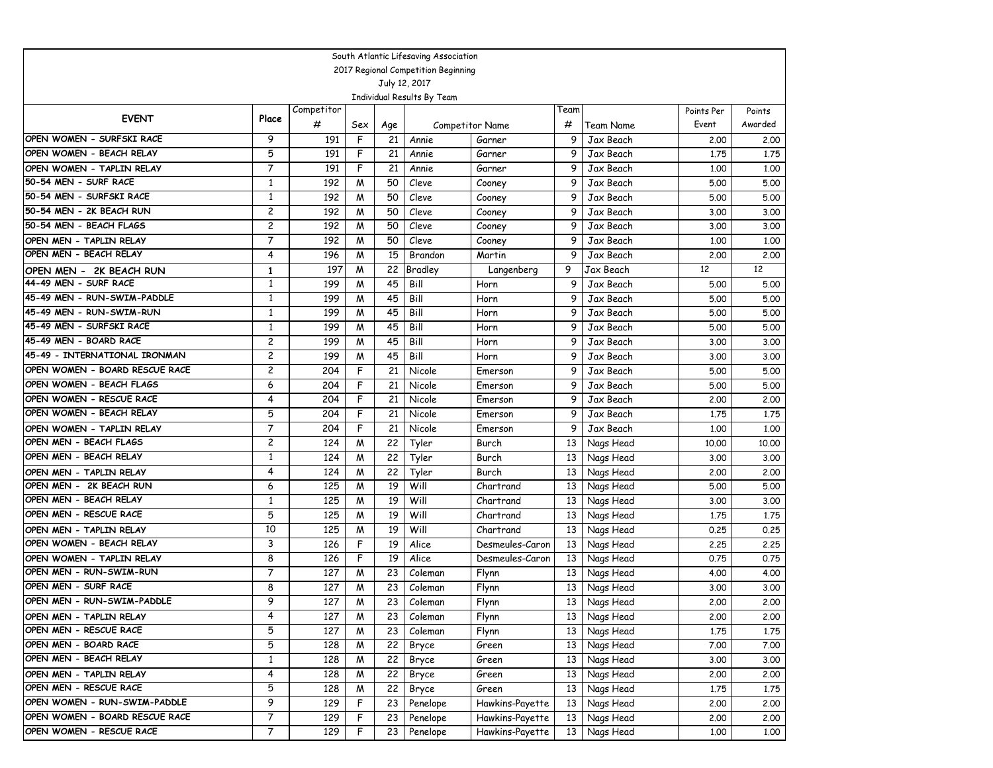|                                                                 |                     |            |        |          | South Atlantic Lifesaving Association |                                    |                 |                           |            |         |
|-----------------------------------------------------------------|---------------------|------------|--------|----------|---------------------------------------|------------------------------------|-----------------|---------------------------|------------|---------|
|                                                                 |                     |            |        |          | 2017 Regional Competition Beginning   |                                    |                 |                           |            |         |
|                                                                 |                     |            |        |          | July 12, 2017                         |                                    |                 |                           |            |         |
|                                                                 |                     |            |        |          | Individual Results By Team            |                                    |                 |                           |            |         |
| <b>EVENT</b>                                                    | Place               | Competitor |        |          |                                       |                                    | Team            |                           | Points Per | Points  |
|                                                                 |                     | #          | Sex    | Age      |                                       | Competitor Name                    | #               | Team Name                 | Event      | Awarded |
| OPEN WOMEN - SURFSKI RACE                                       | 9                   | 191        | F      | 21       | Annie                                 | Garner                             | 9               | Jax Beach                 | 2.00       | 2.00    |
| OPEN WOMEN - BEACH RELAY                                        | 5                   | 191        | F      | 21       | Annie                                 | Garner                             | 9               | Jax Beach                 | 1.75       | 1.75    |
| OPEN WOMEN - TAPLIN RELAY                                       | $\overline{7}$      | 191        | F      | 21       | Annie                                 | Garner                             | 9               | Jax Beach                 | 1,00       | 1,00    |
| 50-54 MEN - SURF RACE                                           | 1                   | 192        | M      | 50       | Cleve                                 | Cooney                             | 9               | Jax Beach                 | 5.00       | 5.00    |
| 50-54 MEN - SURFSKI RACE                                        | 1                   | 192        | M      | 50       | Cleve                                 | Cooney                             | 9               | Jax Beach                 | 5.00       | 5.00    |
| 50-54 MEN - 2K BEACH RUN                                        | 2                   | 192        | M      | 50       | Cleve                                 | Cooney                             | 9               | Jax Beach                 | 3.00       | 3.00    |
| 50-54 MEN - BEACH FLAGS                                         | $\overline{c}$      | 192        | M      | 50       | Cleve                                 | Cooney                             | 9               | Jax Beach                 | 3.00       | 3.00    |
| OPEN MEN - TAPLIN RELAY                                         | $\overline{7}$      | 192        | M      | 50       | Cleve                                 | Cooney                             | 9               | Jax Beach                 | 1,00       | 1,00    |
| OPEN MEN - BEACH RELAY                                          | 4                   | 196        | M      | 15       | Brandon                               | Martin                             | 9               | Jax Beach                 | 2,00       | 2.00    |
| OPEN MEN - 2K BEACH RUN                                         | 1                   | 197        | M      | 22       | <b>Bradley</b>                        | Langenberg                         | 9               | Jax Beach                 | 12         | 12      |
| 44-49 MEN - SURF RACE                                           | 1                   | 199        | M      | 45       | Bill                                  | Horn                               | 9               | Jax Beach                 | 5.00       | 5.00    |
| 45-49 MEN - RUN-SWIM-PADDLE                                     | 1                   | 199        | M      | 45       | Bill                                  | Horn                               | 9               | Jax Beach                 | 5.00       | 5.00    |
| 45-49 MEN - RUN-SWIM-RUN                                        | 1                   | 199        | M      | 45       | Bill                                  | Horn                               | 9               | Jax Beach                 | 5.00       | 5.00    |
| 45-49 MEN - SURFSKI RACE<br>45-49 MEN - BOARD RACE              | 1                   | 199        | M      | 45       | Bill                                  | Horn                               | 9               | Jax Beach                 | 5.00       | 5.00    |
|                                                                 | 2                   | 199        | M      | 45       | Bill                                  | Horn                               | 9               | Jax Beach                 | 3.00       | 3.00    |
| 45-49 - INTERNATIONAL IRONMAN<br>OPEN WOMEN - BOARD RESCUE RACE | 2                   | 199        | M      | 45       | Bill                                  | Horn                               | 9               | Jax Beach                 | 3.00       | 3.00    |
|                                                                 | 2                   | 204        | F      | 21       | Nicole                                | Emerson                            | 9               | Jax Beach                 | 5.00       | 5.00    |
| OPEN WOMEN - BEACH FLAGS<br>OPEN WOMEN - RESCUE RACE            | 6                   | 204        | F      | 21       | Nicole                                | Emerson                            | 9               | Jax Beach                 | 5.00       | 5.00    |
|                                                                 | 4                   | 204        | F      | 21       | Nicole                                | Emerson                            | 9               | Jax Beach                 | 2,00       | 2.00    |
| OPEN WOMEN - BEACH RELAY                                        | 5                   | 204        | F      | 21       | Nicole                                | Emerson                            | 9               | Jax Beach                 | 1.75       | 1.75    |
| OPEN WOMEN - TAPLIN RELAY<br>OPEN MEN - BEACH FLAGS             | $\overline{7}$      | 204        | F      | 21       | Nicole                                | Emerson                            | 9               | Jax Beach                 | 1,00       | 1,00    |
|                                                                 | $\overline{c}$      | 124        | M      | 22       | Tyler                                 | Burch                              | 13              | Nags Head                 | 10.00      | 10.00   |
| OPEN MEN - BEACH RELAY                                          | 1                   | 124        | M      | 22       | Tyler                                 | Burch                              | 13              | Nags Head                 | 3.00       | 3.00    |
| OPEN MEN - TAPLIN RELAY<br>OPEN MEN - 2K BEACH RUN              | 4                   | 124        | M      | 22       | Tyler                                 | Burch                              | 13              | Nags Head                 | 2,00       | 2,00    |
| OPEN MEN - BEACH RELAY                                          | 6                   | 125        | M      | 19       | Will                                  | Chartrand                          | 13              | Nags Head                 | 5.00       | 5.00    |
| OPEN MEN - RESCUE RACE                                          | 1<br>5              | 125        | M      | 19       | Will                                  | Chartrand                          | 13              | Nags Head                 | 3.00       | 3.00    |
|                                                                 | 10                  | 125        | M      | 19       | Will                                  | Chartrand                          | 13              | Nags Head                 | 1.75       | 1.75    |
| OPEN MEN - TAPLIN RELAY<br>OPEN WOMEN - BEACH RELAY             | 3                   | 125        | M      | 19       | Will                                  | Chartrand                          | 13              | Nags Head                 | 0.25       | 0.25    |
|                                                                 |                     | 126        | F<br>F | 19<br>19 | Alice<br>Alice                        | Desmeules-Caron<br>Desmeules-Caron | 13              | Nags Head                 | 2.25       | 2.25    |
| OPEN WOMEN - TAPLIN RELAY<br>OPEN MEN - RUN-SWIM-RUN            | 8<br>$\overline{7}$ | 126        |        |          |                                       |                                    | 13              | Nags Head                 | 0.75       | 0.75    |
| OPEN MEN - SURF RACE                                            | 8                   | 127        | M      | 23       | Coleman                               | Flynn                              | 13              | Nags Head                 | 4.00       | 4.00    |
| OPEN MEN - RUN-SWIM-PADDLE                                      | 9                   | 127<br>127 | M<br>M | 23<br>23 | Coleman                               | Flynn                              | 13              | Nags Head                 | 3.00       | 3.00    |
| OPEN MEN - TAPLIN RELAY                                         | 4                   |            |        |          | Coleman                               | Flynn                              | 13              | Nags Head<br>13 Nags Head | 2,00       | 2.00    |
| OPEN MEN - RESCUE RACE                                          | 5                   | 127<br>127 | M      | 23       | Coleman                               | Flynn                              |                 |                           | 2.00       | 2.00    |
| OPEN MEN - BOARD RACE                                           | 5                   |            | M      | 23       | Coleman                               | Flynn                              | 13              | Nags Head                 | 1.75       | 1.75    |
| OPEN MEN - BEACH RELAY                                          | $\mathbf{1}$        | 128        | M      | 22       | Bryce                                 | Green                              | 13              | Nags Head                 | 7.00       | 7.00    |
|                                                                 |                     | 128        | M      | 22       | <b>Bryce</b>                          | Green                              | 13              | Nags Head                 | 3.00       | 3.00    |
| OPEN MEN - TAPLIN RELAY<br>OPEN MEN - RESCUE RACE               | 4<br>5              | 128        | M      | 22       | Bryce                                 | Green                              | 13              | Nags Head                 | 2.00       | 2.00    |
| OPEN WOMEN - RUN-SWIM-PADDLE                                    |                     | 128        | M      | 22       | Bryce                                 | Green                              | 13              | Nags Head                 | 1.75       | 1.75    |
| OPEN WOMEN - BOARD RESCUE RACE                                  | 9                   | 129        | F      | 23       | Penelope                              | Hawkins-Payette                    | 13              | Nags Head                 | 2.00       | 2.00    |
|                                                                 | $\overline{7}$      | 129        | F      | 23       | Penelope                              | Hawkins-Payette                    | 13              | Nags Head                 | 2.00       | 2.00    |
| OPEN WOMEN - RESCUE RACE                                        | 7                   | 129        | F      | 23       | Penelope                              | Hawkins-Payette                    | 13 <sup>1</sup> | Nags Head                 | 1.00       | 1.00    |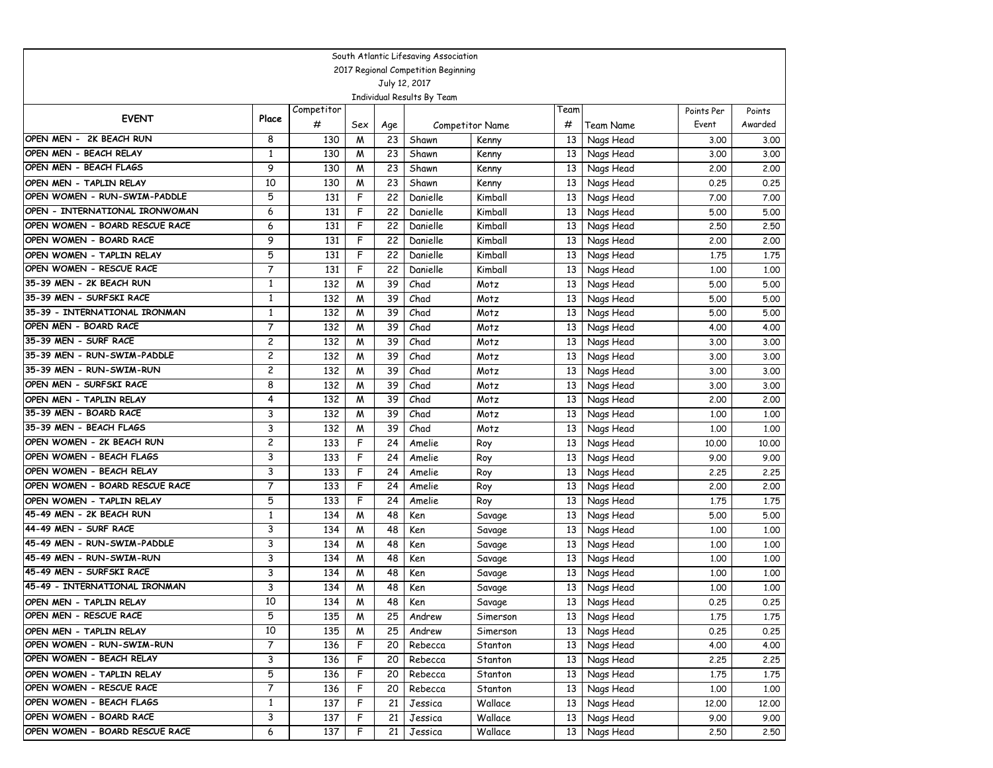|                                                                |                                |            |        |          | South Atlantic Lifesaving Association |                  |                 |                        |               |               |
|----------------------------------------------------------------|--------------------------------|------------|--------|----------|---------------------------------------|------------------|-----------------|------------------------|---------------|---------------|
|                                                                |                                |            |        |          | 2017 Regional Competition Beginning   |                  |                 |                        |               |               |
|                                                                |                                |            |        |          | July 12, 2017                         |                  |                 |                        |               |               |
|                                                                |                                |            |        |          | Individual Results By Team            |                  |                 |                        |               |               |
| <b>EVENT</b>                                                   | Place                          | Competitor |        |          |                                       |                  | Team            |                        | Points Per    | Points        |
|                                                                |                                | #          | Sex    | Age      |                                       | Competitor Name  | #               | Team Name              | Event         | Awarded       |
| OPEN MEN - 2K BEACH RUN<br>OPEN MEN - BEACH RELAY              | 8                              | 130        | M      | 23       | Shawn                                 | Kenny            | 13              | Nags Head              | 3.00          | 3.00          |
|                                                                | 1                              | 130        | W      | 23       | Shawn                                 | Kenny            | 13              | Nags Head              | 3.00          | 3.00          |
| OPEN MEN - BEACH FLAGS                                         | 9                              | 130        | M      | 23       | Shawn                                 | Kenny            | 13              | Nags Head              | 2,00          | 2,00          |
| OPEN MEN - TAPLIN RELAY                                        | 10                             | 130        | W      | 23       | Shawn                                 | Kenny            | 13              | Nags Head              | 0.25          | 0.25          |
| OPEN WOMEN - RUN-SWIM-PADDLE<br>OPEN - INTERNATIONAL IRONWOMAN | 5                              | 131        | F      | 22       | Danielle                              | Kimball          | 13              | Nags Head              | 7.00          | 7.00          |
| OPEN WOMEN - BOARD RESCUE RACE                                 | 6                              | 131        | F      | 22       | Danielle                              | Kimball          | 13              | Nags Head              | 5.00          | 5.00          |
|                                                                | 6                              | 131        | F      | 22       | Danielle                              | Kimball          | 13              | Nags Head              | 2.50          | 2.50          |
| OPEN WOMEN - BOARD RACE                                        | 9<br>5                         | 131        | F      | 22       | Danielle                              | Kimball          | 13              | Nags Head              | 2,00          | 2.00          |
| OPEN WOMEN - TAPLIN RELAY<br>OPEN WOMEN - RESCUE RACE          | $\overline{7}$                 | 131        | F      | 22       | Danielle                              | Kimball          | 13              | Nags Head              | 1.75          | 1.75          |
| 35-39 MEN - 2K BEACH RUN                                       |                                | 131        | F      | 22       | Danielle                              | Kimball          | 13              | Nags Head              | 1,00          | 1.00          |
| 35-39 MEN - SURFSKI RACE                                       | $\mathbf{1}$                   | 132        | W      | 39       | Chad                                  | Motz             | 13              | Nags Head              | 5.00          | 5.00          |
| 35-39 - INTERNATIONAL IRONMAN                                  | $\mathbf{1}$                   | 132        | M      | 39       | Chad                                  | Motz             | 13              | Nags Head              | 5.00          | 5.00          |
| OPEN MEN - BOARD RACE                                          | $\mathbf{1}$<br>$\overline{7}$ | 132        | M      | 39       | Chad                                  | Motz             | 13              | Nags Head              | 5.00          | 5.00          |
| 35-39 MEN - SURF RACE                                          | $\overline{c}$                 | 132        | M      | 39<br>39 | Chad<br>Chad                          | Motz             | 13              | Nags Head              | 4.00          | 4.00          |
| 35-39 MEN - RUN-SWIM-PADDLE                                    | $\overline{c}$                 | 132        | W      |          |                                       | Motz             | 13              | Nags Head              | 3.00          | 3.00          |
| 35-39 MEN - RUN-SWIM-RUN                                       |                                | 132        | M      | 39       | Chad                                  | Motz             | 13              | Nags Head              | 3.00          | 3.00          |
| OPEN MEN - SURFSKI RACE                                        | $\overline{c}$                 | 132        | W      | 39       | Chad                                  | Motz             | 13              | Nags Head              | 3.00          | 3.00          |
|                                                                | 8                              | 132        | W      | 39       | Chad                                  | Motz             | 13              | Nags Head              | 3.00          | 3.00          |
| OPEN MEN - TAPLIN RELAY<br>35-39 MEN - BOARD RACE              | 4<br>3                         | 132        | M      | 39       | Chad<br>Chad                          | Motz             | 13              | Nags Head              | 2,00          | 2.00          |
| 35-39 MEN - BEACH FLAGS                                        | 3                              | 132        | W      | 39<br>39 | Chad                                  | Motz             | 13              | Nags Head              | 1,00          | 1,00          |
| OPEN WOMEN - 2K BEACH RUN                                      | $\overline{c}$                 | 132<br>133 | W<br>F | 24       | Amelie                                | Motz             | 13<br>13        | Nags Head              | 1.00<br>10.00 | 1.00<br>10,00 |
| OPEN WOMEN - BEACH FLAGS                                       | 3                              | 133        | F      | 24       | Amelie                                | Roy              | 13              | Nags Head              | 9.00          | 9.00          |
| OPEN WOMEN - BEACH RELAY                                       | 3                              | 133        | F      | 24       | Amelie                                | Roy              | 13              | Nags Head<br>Nags Head | 2.25          | 2.25          |
| OPEN WOMEN - BOARD RESCUE RACE                                 | 7                              | 133        | F      | 24       | Amelie                                | Roy              | 13              |                        |               | 2,00          |
| OPEN WOMEN - TAPLIN RELAY                                      | 5                              | 133        | F      | 24       | Amelie                                | Roy              | 13              | Nags Head<br>Nags Head | 2,00<br>1.75  | 1.75          |
| 45-49 MEN - 2K BEACH RUN                                       | 1                              | 134        | W      | 48       | Ken                                   | Roy              | 13              | Nags Head              | 5.00          | 5.00          |
| 44-49 MEN - SURF RACE                                          | 3                              | 134        | M      | 48       | Ken                                   | Savage           | 13              | Nags Head              | 1,00          | 1,00          |
| 45-49 MEN - RUN-SWIM-PADDLE                                    | 3                              | 134        | M      | 48       | Ken                                   | Savage           | 13              | Nags Head              | 1.00          | 1.00          |
| 45-49 MEN - RUN-SWIM-RUN                                       | 3                              | 134        | M      | 48       | Ken                                   | Savage<br>Savage | 13              | Nags Head              | 1.00          | 1.00          |
| 45-49 MEN - SURFSKI RACE                                       | 3                              | 134        | M      | 48       | Ken                                   | Savage           | 13              | Nags Head              | 1,00          | 1,00          |
| 45-49 - INTERNATIONAL IRONMAN                                  | 3                              | 134        | M      | 48       | Ken                                   |                  | 13              | Nags Head              | 1,00          | 1.00          |
| OPEN MEN - TAPLIN RELAY                                        | 10                             | 134        | W      | 48       | Ken                                   | Savage<br>Savage | 13              | Nags Head              | 0.25          | 0.25          |
| OPEN MEN - RESCUE RACE                                         | 5                              | 135        | M      | 25       | Andrew                                | Simerson         |                 | 13 Nags Head           | 1.75          | 1.75          |
| OPEN MEN - TAPLIN RELAY                                        | 10                             | 135        | M      | 25       | Andrew                                | Simerson         | 13              | Nags Head              | 0.25          | 0.25          |
| OPEN WOMEN - RUN-SWIM-RUN                                      | 7                              | 136        | F      | 20       | Rebecca                               | Stanton          | 13 <sup>1</sup> | Nags Head              | 4.00          | 4.00          |
| OPEN WOMEN - BEACH RELAY                                       | 3                              | 136        | F      | 20       | Rebecca                               | Stanton          | 13              | Nags Head              | 2.25          | 2.25          |
| OPEN WOMEN - TAPLIN RELAY                                      | 5                              | 136        | F      | 20       | Rebecca                               | Stanton          | 13              | Nags Head              | 1.75          | 1.75          |
| OPEN WOMEN - RESCUE RACE                                       | 7                              | 136        | F      | 20       | Rebecca                               | Stanton          | 13              | Nags Head              | 1.00          | 1.00          |
| OPEN WOMEN - BEACH FLAGS                                       | $\mathbf{1}$                   | 137        | F      | 21       | Jessica                               | Wallace          | 13              | Nags Head              | 12.00         | 12.00         |
| OPEN WOMEN - BOARD RACE                                        | 3                              | 137        | F      | 21       | Jessica                               | Wallace          | 13              | Nags Head              | 9.00          | 9.00          |
| OPEN WOMEN - BOARD RESCUE RACE                                 | 6                              | 137        | F      | 21       |                                       | Wallace          |                 |                        |               |               |
|                                                                |                                |            |        |          | Jessica                               |                  | 13 <sup>1</sup> | Nags Head              | 2.50          | 2.50          |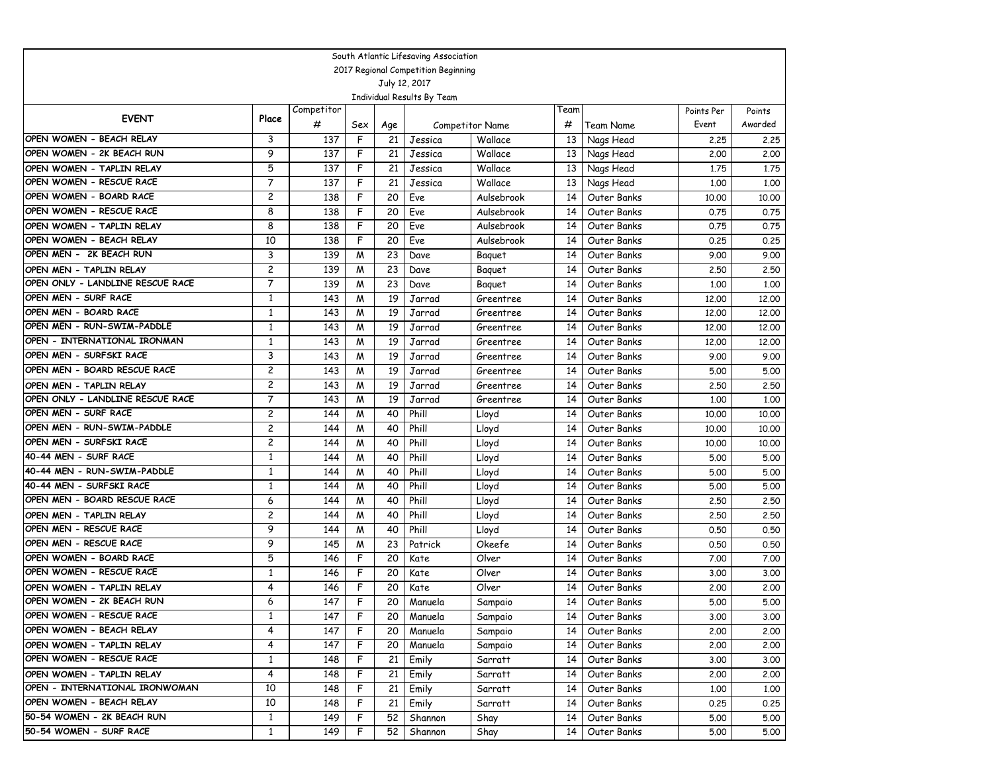| South Atlantic Lifesaving Association                       |                              |            |        |          |                |                 |          |                            |              |              |  |
|-------------------------------------------------------------|------------------------------|------------|--------|----------|----------------|-----------------|----------|----------------------------|--------------|--------------|--|
| 2017 Regional Competition Beginning                         |                              |            |        |          |                |                 |          |                            |              |              |  |
| July 12, 2017                                               |                              |            |        |          |                |                 |          |                            |              |              |  |
| Individual Results By Team                                  |                              |            |        |          |                |                 |          |                            |              |              |  |
| <b>EVENT</b>                                                | Place                        | Competitor |        |          |                |                 | Team     |                            | Points Per   | Points       |  |
|                                                             |                              | #          | Sex    | Age      |                | Competitor Name | #        | Team Name                  | Event        | Awarded      |  |
| OPEN WOMEN - BEACH RELAY                                    | 3                            | 137        | F      | 21       | Jessica        | Wallace         | 13       | Nags Head                  | 2.25         | 2.25         |  |
| OPEN WOMEN - 2K BEACH RUN                                   | 9                            | 137        | F      | 21       | Jessica        | Wallace         | 13       | Nags Head                  | 2,00         | 2.00         |  |
| OPEN WOMEN - TAPLIN RELAY                                   | 5                            | 137        | F      | 21       | Jessica        | Wallace         | 13       | Nags Head                  | 1.75         | 1.75         |  |
| OPEN WOMEN - RESCUE RACE                                    | $\overline{7}$               | 137        | F      | 21       | Jessica        | Wallace         | 13       | Nags Head                  | 1.00         | 1.00         |  |
| OPEN WOMEN - BOARD RACE<br>OPEN WOMEN - RESCUE RACE         | 2                            | 138        | F      | 20       | Eve            | Aulsebrook      | 14       | Outer Banks                | 10.00        | 10.00        |  |
|                                                             | 8                            | 138        | F      | 20       | Eve            | Aulsebrook      | 14       | Outer Banks                | 0.75         | 0.75         |  |
| OPEN WOMEN - TAPLIN RELAY                                   | 8                            | 138        | F      | 20       | Eve            | Aulsebrook      | 14       | Outer Banks                | 0.75         | 0.75         |  |
| OPEN WOMEN - BEACH RELAY                                    | 10                           | 138        | F      | 20       | Eve            | Aulsebrook      | 14       | Outer Banks                | 0.25         | 0.25         |  |
| OPEN MEN - 2K BEACH RUN                                     | 3                            | 139        | W      | 23       | Dave           | Baguet          | 14       | Outer Banks                | 9.00         | 9.00         |  |
| OPEN MEN - TAPLIN RELAY                                     | $\overline{c}$               | 139        | M      | 23       | Dave           | Baguet          | 14       | Outer Banks                | 2.50         | 2.50         |  |
| OPEN ONLY - LANDLINE RESCUE RACE                            | 7                            | 139        | W      | 23       | Dave           | Baguet          | 14       | Outer Banks                | 1.00         | 1,00         |  |
| OPEN MEN - SURF RACE<br>OPEN MEN - BOARD RACE               | $\mathbf{1}$                 | 143        | M      | 19       | Jarrad         | Greentree       | 14       | Outer Banks                | 12,00        | 12,00        |  |
|                                                             | $\mathbf{1}$                 | 143        | M      | 19       | Jarrad         | Greentree       | 14       | Outer Banks                | 12,00        | 12.00        |  |
| OPEN MEN - RUN-SWIM-PADDLE<br>OPEN - INTERNATIONAL IRONMAN  | $\mathbf{1}$                 | 143        | M      | 19       | Jarrad         | Greentree       | 14       | Outer Banks                | 12,00        | 12.00        |  |
|                                                             | 1                            | 143        | M      | 19       | Jarrad         | Greentree       | 14       | Outer Banks                | 12,00        | 12,00        |  |
| OPEN MEN - SURFSKI RACE<br>OPEN MEN - BOARD RESCUE RACE     | 3                            | 143        | M      | 19       | Jarrad         | Greentree       | 14       | Outer Banks                | 9.00         | 9.00         |  |
|                                                             | $\overline{c}$               | 143        | W      | 19       | Jarrad         | Greentree       | 14       | Outer Banks                | 5.00         | 5.00         |  |
| OPEN MEN - TAPLIN RELAY<br>OPEN ONLY - LANDLINE RESCUE RACE | $\overline{c}$               | 143        | W      | 19       | Jarrad         | Greentree       | 14       | Outer Banks                | 2.50         | 2.50         |  |
| OPEN MEN - SURF RACE                                        | $\overline{7}$               | 143        | M      | 19       | Jarrad         | Greentree       | 14       | Outer Banks                | 1,00         | 1,00         |  |
| OPEN MEN - RUN-SWIM-PADDLE                                  | $\overline{c}$               | 144        | W      | 40       | Phill          | Lloyd           | 14       | Outer Banks                | 10.00        | 10.00        |  |
| OPEN MEN - SURFSKI RACE                                     | $\overline{c}$               | 144        | W      | 40<br>40 | Phill          | Lloyd           | 14       | Outer Banks                | 10,00        | 10,00        |  |
| 40-44 MEN - SURF RACE                                       | $\overline{c}$               | 144        | W      | 40       | Phill          | Lloyd           | 14       | Outer Banks                | 10.00        | 10.00        |  |
| 40-44 MEN - RUN-SWIM-PADDLE                                 | $\mathbf{1}$<br>$\mathbf{1}$ | 144        | W      | 40       | Phill<br>Phill | Lloyd           | 14<br>14 | Outer Banks                | 5.00         | 5.00         |  |
| 40-44 MEN - SURFSKI RACE                                    | $\mathbf{1}$                 | 144        | W      | 40       | Phill          | Lloyd           |          | Outer Banks                | 5.00         | 5.00         |  |
| OPEN MEN - BOARD RESCUE RACE                                | 6                            | 144<br>144 | M      | 40       | Phill          | Lloyd           | 14<br>14 | Outer Banks<br>Outer Banks | 5.00         | 5.00         |  |
| OPEN MEN - TAPLIN RELAY                                     | $\overline{c}$               | 144        | M<br>W | 40       | Phill          | Lloyd           | 14       | Outer Banks                | 2.50<br>2.50 | 2.50<br>2.50 |  |
| OPEN MEN - RESCUE RACE                                      | 9                            | 144        | W      | 40       | Phill          | Lloyd           | 14       | Outer Banks                | 0.50         | 0.50         |  |
| OPEN MEN - RESCUE RACE                                      | 9                            | 145        | M      | 23       | Patrick        | Lloyd<br>Okeefe | 14       | Outer Banks                | 0.50         | 0.50         |  |
| OPEN WOMEN - BOARD RACE                                     | 5                            | 146        | F      | 20       | Kate           | Olver           | 14       | Outer Banks                | 7.00         | 7.00         |  |
| OPEN WOMEN - RESCUE RACE                                    | $\mathbf{1}$                 | 146        | F      | 20       | Kate           | Olver           | 14       | Outer Banks                | 3.00         | 3.00         |  |
| OPEN WOMEN - TAPLIN RELAY                                   | 4                            | 146        | F      | 20       | Kate           | Olver           | 14       | Outer Banks                | 2,00         | 2.00         |  |
| OPEN WOMEN - 2K BEACH RUN                                   | 6                            | 147        | F      | 20       | Manuela        | Sampaio         | 14       | Outer Banks                | 5.00         | 5.00         |  |
| OPEN WOMEN - RESCUE RACE                                    | 1                            | 147        | F      | 20       | Manuela        | Sampaio         | 14 I     | Outer Banks                | 3.00         | 3.00         |  |
| OPEN WOMEN - BEACH RELAY                                    | 4                            | 147        | F      | 20       | Manuela        | Sampaio         | 14       | Outer Banks                | 2.00         | 2.00         |  |
| OPEN WOMEN - TAPLIN RELAY                                   | 4                            | 147        | F      | 20       | Manuela        | Sampaio         | 14       | Outer Banks                | 2.00         | 2.00         |  |
| OPEN WOMEN - RESCUE RACE                                    | $\mathbf{1}$                 | 148        | F      | 21       | Emily          | Sarratt         | 14       | Outer Banks                | 3.00         | 3.00         |  |
| OPEN WOMEN - TAPLIN RELAY                                   | 4                            | 148        | F      | 21       | Emily          | Sarratt         | 14       | Outer Banks                | 2.00         | 2.00         |  |
| OPEN - INTERNATIONAL IRONWOMAN                              | 10                           | 148        | F      | 21       | Emily          | Sarratt         | 14       | Outer Banks                | 1,00         | 1.00         |  |
| OPEN WOMEN - BEACH RELAY                                    | 10                           | 148        | F.     | 21       | Emily          | Sarratt         | 14       | Outer Banks                | 0.25         | 0.25         |  |
| 50-54 WOMEN - 2K BEACH RUN                                  | $\mathbf{1}$                 | 149        | F      | 52       | Shannon        | Shay            | 14       | Outer Banks                | 5.00         | 5.00         |  |
| 50-54 WOMEN - SURF RACE                                     | $\mathbf{1}$                 | 149        | F      | 52       | Shannon        | Shay            | 14       | Outer Banks                | 5.00         | 5.00         |  |
|                                                             |                              |            |        |          |                |                 |          |                            |              |              |  |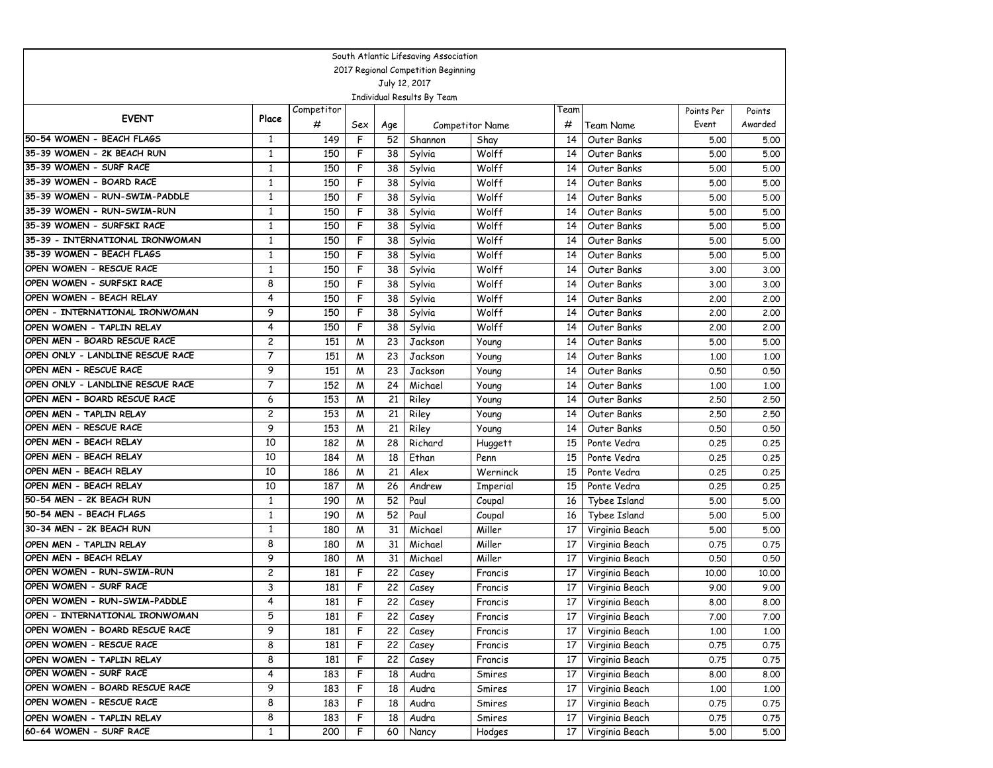| South Atlantic Lifesaving Association                     |                                  |            |        |          |                  |                        |          |                            |              |              |  |
|-----------------------------------------------------------|----------------------------------|------------|--------|----------|------------------|------------------------|----------|----------------------------|--------------|--------------|--|
| 2017 Regional Competition Beginning                       |                                  |            |        |          |                  |                        |          |                            |              |              |  |
| July 12, 2017                                             |                                  |            |        |          |                  |                        |          |                            |              |              |  |
| Individual Results By Team                                |                                  |            |        |          |                  |                        |          |                            |              |              |  |
| <b>EVENT</b>                                              | Place                            | Competitor |        |          |                  |                        | Team     |                            | Points Per   | Points       |  |
|                                                           |                                  | #          | Sex    | Age      |                  | Competitor Name        | #        | Team Name                  | Event        | Awarded      |  |
| 50-54 WOMEN - BEACH FLAGS                                 | $\mathbf{1}$                     | 149        | F      | 52       | Shannon          | Shay                   | 14       | Outer Banks                | 5.00         | 5.00         |  |
| 35-39 WOMEN - 2K BEACH RUN                                | 1                                | 150        | F      | 38       | Sylvia           | Wolff                  | 14       | Outer Banks                | 5.00         | 5.00         |  |
| 35-39 WOMEN - SURF RACE                                   | $\mathbf{1}$                     | 150        | F      | 38       | Sylvia           | Wolff                  | 14       | Outer Banks                | 5.00         | 5.00         |  |
| 35-39 WOMEN - BOARD RACE                                  | $\mathbf{1}$                     | 150        | F      | 38       | Sylvia           | Wolff                  | 14       | Outer Banks                | 5.00         | 5.00         |  |
| 35-39 WOMEN - RUN-SWIM-PADDLE                             | $\mathbf{1}$                     | 150        | F      | 38       | Sylvia           | Wolff                  | 14       | Outer Banks                | 5.00         | 5.00         |  |
| 35-39 WOMEN - RUN-SWIM-RUN                                | 1                                | 150        | F      | 38       | Sylvia           | Wolff                  | 14       | Outer Banks                | 5.00         | 5.00         |  |
| 35-39 WOMEN - SURFSKI RACE                                | $\mathbf{1}$                     | 150        | F      | 38       | Sylvia           | Wolff                  | 14       | Outer Banks                | 5.00         | 5.00         |  |
| 35-39 - INTERNATIONAL IRONWOMAN                           | $\mathbf{1}$                     | 150        | F      | 38       | Sylvia           | Wolff                  | 14       | Outer Banks                | 5.00         | 5.00         |  |
| 35-39 WOMEN - BEACH FLAGS                                 | $\mathbf{1}$                     | 150        | F      | 38       | Sylvia           | Wolff                  | 14       | Outer Banks                | 5.00         | 5.00         |  |
| OPEN WOMEN - RESCUE RACE                                  | $\mathbf{1}$                     | 150        | F      | 38       | Sylvia           | Wolff                  | 14       | Outer Banks                | 3.00         | 3.00         |  |
| OPEN WOMEN - SURFSKI RACE                                 | 8                                | 150        | F      | 38       | Sylvia           | Wolff                  | 14       | Outer Banks                | 3.00         | 3.00         |  |
| OPEN WOMEN - BEACH RELAY                                  | 4                                | 150        | F      | 38       | Sylvia           | Wolff                  | 14       | Outer Banks                | 2,00         | 2,00         |  |
| OPEN - INTERNATIONAL IRONWOMAN                            | 9                                | 150        | F      | 38       | Sylvia           | Wolff                  | 14       | Outer Banks                | 2,00         | 2,00         |  |
| OPEN WOMEN - TAPLIN RELAY<br>OPEN MEN - BOARD RESCUE RACE | 4                                | 150        | F      | 38       | Sylvia           | Wolff                  | 14       | Outer Banks                | 2,00         | 2,00         |  |
| OPEN ONLY - LANDLINE RESCUE RACE                          | $\overline{c}$<br>$\overline{7}$ | 151        | M      | 23       | Jackson          | Young                  | 14       | Outer Banks                | 5.00         | 5.00         |  |
| OPEN MEN - RESCUE RACE                                    |                                  | 151        | M      | 23       | Jackson          | Young                  | 14       | Outer Banks                | 1.00         | 1.00         |  |
| OPEN ONLY - LANDLINE RESCUE RACE                          | 9<br>7                           | 151        | W      | 23       | Jackson          | Young                  | 14       | Outer Banks                | 0.50         | 0.50         |  |
| OPEN MEN - BOARD RESCUE RACE                              |                                  | 152        | W      | 24<br>21 | Michael          | Young                  | 14       | Outer Banks                | 1.00         | 1,00         |  |
|                                                           | 6<br>$\overline{c}$              | 153        | M      |          | Riley            | Young                  | 14<br>14 | Outer Banks                | 2.50         | 2.50         |  |
| OPEN MEN - TAPLIN RELAY<br>OPEN MEN - RESCUE RACE         | 9                                | 153        | W      | 21<br>21 | Riley            | Young                  | 14       | Outer Banks                | 2.50         | 2.50         |  |
| OPEN MEN - BEACH RELAY                                    | 10                               | 153<br>182 | W<br>W | 28       | Riley<br>Richard | Young                  | 15       | Outer Banks<br>Ponte Vedra | 0.50<br>0.25 | 0.50<br>0.25 |  |
| OPEN MEN - BEACH RELAY                                    | 10                               | 184        | W      | 18       | Ethan            | <b>Huggett</b><br>Penn | 15       | Ponte Vedra                | 0.25         | 0.25         |  |
| OPEN MEN - BEACH RELAY                                    | 10                               | 186        | W      | 21       | Alex             | Werninck               | 15       | Ponte Vedra                | 0.25         | 0.25         |  |
| OPEN MEN - BEACH RELAY                                    | 10                               | 187        | M      | 26       | Andrew           |                        | 15       | Ponte Vedra                | 0.25         | 0.25         |  |
| 50-54 MEN - 2K BEACH RUN                                  | $\mathbf{1}$                     | 190        | M      | 52       | Paul             | Imperial<br>Coupal     | 16       | Tybee Island               | 5.00         | 5.00         |  |
| 50-54 MEN - BEACH FLAGS                                   | $\mathbf{1}$                     | 190        | W      | 52       | Paul             | Coupal                 | 16       | Tybee Island               | 5.00         | 5.00         |  |
| 30-34 MEN - 2K BEACH RUN                                  | $\mathbf{1}$                     | 180        | W      | 31       | Michael          | Miller                 | 17       | Virginia Beach             | 5.00         | 5.00         |  |
| OPEN MEN - TAPLIN RELAY                                   | 8                                | 180        | M      | 31       | Michael          | Miller                 | 17       | Virginia Beach             | 0.75         | 0.75         |  |
| OPEN MEN - BEACH RELAY                                    | 9                                | 180        | W      | 31       | Michael          | Miller                 | 17       | Virginia Beach             | 0.50         | 0.50         |  |
| OPEN WOMEN - RUN-SWIM-RUN                                 | $\overline{c}$                   | 181        | F      | 22       | Casey            | Francis                | 17       | Virginia Beach             | 10.00        | 10.00        |  |
| OPEN WOMEN - SURF RACE                                    | 3                                | 181        | F      | 22       | Casey            | Francis                | 17       | Virginia Beach             | 9.00         | 9.00         |  |
| OPEN WOMEN - RUN-SWIM-PADDLE                              | 4                                | 181        | F      | 22       | Casey            | Francis                | 17       | Virginia Beach             | 8.00         | 8.00         |  |
| OPEN - INTERNATIONAL IRONWOMAN                            | 5                                | 181        | F      | 22       | Casey            | Francis                | 17       | Virginia Beach             | 7.00         | 7.00         |  |
| OPEN WOMEN - BOARD RESCUE RACE                            | 9                                | 181        | F      | 22       | Casey            | Francis                | 17       | Virginia Beach             | 1.00         | 1.00         |  |
| OPEN WOMEN - RESCUE RACE                                  | 8                                | 181        | F      | 22       | Casey            | Francis                | 17       | Virginia Beach             | 0.75         | 0.75         |  |
| OPEN WOMEN - TAPLIN RELAY                                 | 8                                | 181        | F      | 22       | Casey            | Francis                | 17       | Virginia Beach             | 0.75         | 0.75         |  |
| OPEN WOMEN - SURF RACE                                    | 4                                | 183        | F      | 18       | Audra            | Smires                 | 17       | Virginia Beach             | 8.00         | 8.00         |  |
| OPEN WOMEN - BOARD RESCUE RACE                            | 9                                | 183        | F      | 18       | Audra            | Smires                 | 17       | Virginia Beach             | 1.00         | 1.00         |  |
| OPEN WOMEN - RESCUE RACE                                  | 8                                | 183        | F      | 18       | Audra            | Smires                 | 17       | Virginia Beach             | 0.75         | 0.75         |  |
| OPEN WOMEN - TAPLIN RELAY                                 | 8                                | 183        | F      | 18       | Audra            | Smires                 | 17       | Virginia Beach             | 0.75         | 0.75         |  |
| 60-64 WOMEN - SURF RACE                                   | $\mathbf{1}$                     | 200        | F      | 60       | Nancy            | Hodges                 | 17       | Virginia Beach             | 5.00         | 5.00         |  |
|                                                           |                                  |            |        |          |                  |                        |          |                            |              |              |  |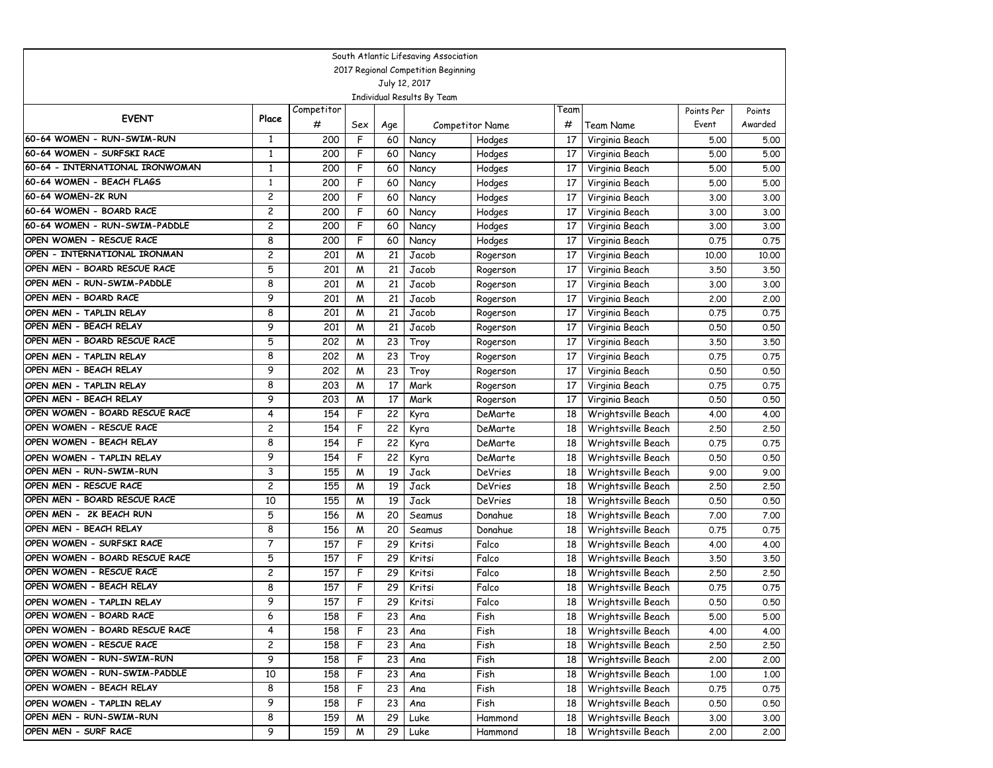| South Atlantic Lifesaving Association                |                |            |        |          |              |                        |          |                                          |              |              |  |
|------------------------------------------------------|----------------|------------|--------|----------|--------------|------------------------|----------|------------------------------------------|--------------|--------------|--|
| 2017 Regional Competition Beginning                  |                |            |        |          |              |                        |          |                                          |              |              |  |
| July 12, 2017                                        |                |            |        |          |              |                        |          |                                          |              |              |  |
| Individual Results By Team                           |                |            |        |          |              |                        |          |                                          |              |              |  |
| <b>EVENT</b>                                         | Place          | Competitor |        |          |              |                        | Team     |                                          | Points Per   | Points       |  |
|                                                      |                | #          | Sex    | Age      |              | <b>Competitor Name</b> | #        | Team Name                                | Event        | Awarded      |  |
| 60-64 WOMEN - RUN-SWIM-RUN                           | $\mathbf{1}$   | 200        | F      | 60       | Nancy        | Hodges                 | 17       | Virginia Beach                           | 5.00         | 5.00         |  |
| 60-64 WOMEN - SURFSKI RACE                           | 1              | 200        | F      | 60       | Nancy        | Hodges                 | 17       | Virginia Beach                           | 5.00         | 5.00         |  |
| 60-64 - INTERNATIONAL IRONWOMAN                      | 1              | 200        | F      | 60       | Nancy        | Hodges                 | 17       | Virginia Beach                           | 5.00         | 5.00         |  |
| 60-64 WOMEN - BEACH FLAGS                            | $\mathbf{1}$   | 200        | F      | 60       | Nancy        | Hodges                 | 17       | Virginia Beach                           | 5.00         | 5.00         |  |
| 60-64 WOMEN-2K RUN                                   | 2              | 200        | F      | 60       | Nancy        | Hodges                 | 17       | Virginia Beach                           | 3.00         | 3.00         |  |
| 60-64 WOMEN - BOARD RACE                             | 2              | 200        | F      | 60       | Nancy        | Hodges                 | 17       | Virginia Beach                           | 3.00         | 3.00         |  |
| 60-64 WOMEN - RUN-SWIM-PADDLE                        | 2              | 200        | F      | 60       | Nancy        | Hodges                 | 17       | Virginia Beach                           | 3.00         | 3.00         |  |
| OPEN WOMEN - RESCUE RACE                             | 8              | 200        | F      | 60       | Nancy        | Hodges                 | 17       | Virginia Beach                           | 0.75         | 0.75         |  |
| OPEN - INTERNATIONAL IRONMAN                         | $\overline{c}$ | 201        | W      | 21       | Jacob        | Rogerson               | 17       | Virginia Beach                           | 10,00        | 10.00        |  |
| OPEN MEN - BOARD RESCUE RACE                         | 5              | 201        | M      | 21       | Jacob        | Rogerson               | 17       | Virginia Beach                           | 3.50         | 3.50         |  |
| OPEN MEN - RUN-SWIM-PADDLE                           | 8              | 201        | M      | 21       | Jacob        | Rogerson               | 17       | Virginia Beach                           | 3.00         | 3.00         |  |
| OPEN MEN - BOARD RACE                                | 9              | 201        | M      | 21       | Jacob        | Rogerson               | 17       | Virginia Beach                           | 2.00         | 2,00         |  |
| OPEN MEN - TAPLIN RELAY                              | 8              | 201        | M      | 21       | Jacob        | Rogerson               | 17       | Virginia Beach                           | 0.75         | 0.75         |  |
| OPEN MEN - BEACH RELAY                               | 9              | 201        | M      | 21       | Jacob        | Rogerson               | 17       | Virginia Beach                           | 0.50         | 0.50         |  |
| OPEN MEN - BOARD RESCUE RACE                         | 5              | 202        | W      | 23       | Troy         | Rogerson               | 17       | Virginia Beach                           | 3.50         | 3.50         |  |
| OPEN MEN - TAPLIN RELAY<br>OPEN MEN - BEACH RELAY    | 8              | 202        | W      | 23       | Troy         | Rogerson               | 17       | Virginia Beach                           | 0.75         | 0.75         |  |
|                                                      | 9              | 202        | W      | 23       | Troy         | Rogerson               | 17       | Virginia Beach                           | 0.50         | 0.50         |  |
| OPEN MEN - TAPLIN RELAY<br>OPEN MEN - BEACH RELAY    | 8              | 203        | W      | 17       | Mark         | Rogerson               | 17       | Virginia Beach                           | 0.75         | 0.75         |  |
| OPEN WOMEN - BOARD RESCUE RACE                       | 9              | 203        | M      | 17       | Mark         | Rogerson               | 17       | Virginia Beach                           | 0.50         | 0.50         |  |
| OPEN WOMEN - RESCUE RACE                             | 4              | 154        | F      | 22       | Kyra         | DeMarte                | 18       | Wrightsville Beach                       | 4.00         | 4.00         |  |
| OPEN WOMEN - BEACH RELAY                             | $\overline{c}$ | 154<br>154 | F<br>F | 22<br>22 | Kyra         | DeMarte                | 18       | Wrightsville Beach                       | 2.50         | 2.50         |  |
|                                                      | 8              | 154        |        | 22       | Kyra         | DeMarte                | 18       | Wrightsville Beach                       | 0.75         | 0.75         |  |
| OPEN WOMEN - TAPLIN RELAY<br>OPEN MEN - RUN-SWIM-RUN | 9<br>3         |            | F      | 19       | Kyra<br>Jack | DeMarte                | 18       | Wrightsville Beach                       | 0.50         | 0.50         |  |
| OPEN MEN - RESCUE RACE                               | 2              | 155        | W      | 19       |              | <b>DeVries</b>         | 18       | Wrightsville Beach                       | 9.00         | 9.00         |  |
| OPEN MEN - BOARD RESCUE RACE                         | 10             | 155<br>155 | M      | 19       | Jack<br>Jack | <b>DeVries</b>         | 18<br>18 | Wrightsville Beach<br>Wrightsville Beach | 2.50         | 2.50<br>0.50 |  |
| OPEN MEN - 2K BEACH RUN                              | 5              | 156        | M<br>W | 20       | Seamus       | DeVries                | 18       | Wrightsville Beach                       | 0.50<br>7.00 | 7.00         |  |
| OPEN MEN - BEACH RELAY                               | 8              | 156        | W      | 20       | Seamus       | Donahue                | 18       | Wrightsville Beach                       | 0.75         | 0.75         |  |
| OPEN WOMEN - SURFSKI RACE                            | $\overline{7}$ | 157        | F      | 29       | Kritsi       | Donahue<br>Falco       | 18       |                                          | 4.00         | 4.00         |  |
| OPEN WOMEN - BOARD RESCUE RACE                       | 5              | 157        | F      | 29       | Kritsi       | Falco                  | 18       | Wrightsville Beach<br>Wrightsville Beach | 3.50         | 3.50         |  |
| OPEN WOMEN - RESCUE RACE                             | 2              | 157        | F      | 29       | Kritsi       | Falco                  | 18       | Wrightsville Beach                       | 2.50         | 2.50         |  |
| OPEN WOMEN - BEACH RELAY                             | 8              | 157        | F      | 29       | Kritsi       | Falco                  | 18       | Wrightsville Beach                       | 0.75         | 0.75         |  |
| OPEN WOMEN - TAPLIN RELAY                            | 9              | 157        | F      | 29       | Kritsi       | Falco                  | 18       | Wrightsville Beach                       | 0.50         | 0.50         |  |
| OPEN WOMEN - BOARD RACE                              | 6              | 158        | F      | 23       | Ana          | Fish                   | 18 I     | Wrightsville Beach                       | 5.00         | 5.00         |  |
| OPEN WOMEN - BOARD RESCUE RACE                       | 4              | 158        | F      | 23       | Ana          | Fish                   | 18       | Wrightsville Beach                       | 4.00         | 4.00         |  |
| OPEN WOMEN - RESCUE RACE                             | $\overline{c}$ | 158        | F      | 23       | Ana          | Fish                   | 18       | Wrightsville Beach                       | 2.50         | 2.50         |  |
| OPEN WOMEN - RUN-SWIM-RUN                            | 9              | 158        | F      | 23       | Ana          | Fish                   | 18       | Wrightsville Beach                       | 2.00         | 2.00         |  |
| OPEN WOMEN - RUN-SWIM-PADDLE                         | 10             | 158        | F      | 23       | Ana          | Fish                   | 18       | Wrightsville Beach                       | 1.00         | 1.00         |  |
| OPEN WOMEN - BEACH RELAY                             | 8              | 158        | F      | 23       | Ana          | Fish                   | 18       | Wrightsville Beach                       | 0.75         | 0.75         |  |
| OPEN WOMEN - TAPLIN RELAY                            | 9              | 158        | F      | 23       | Ana          | Fish                   | 18       | Wrightsville Beach                       | 0.50         | 0.50         |  |
| OPEN MEN - RUN-SWIM-RUN                              | 8              | 159        | M      | 29       | Luke         | Hammond                | 18       | Wrightsville Beach                       | 3.00         | 3.00         |  |
| OPEN MEN - SURF RACE                                 | 9              | 159        | M      | 29       | Luke         | Hammond                | 18       | Wrightsville Beach                       | 2.00         | 2.00         |  |
|                                                      |                |            |        |          |              |                        |          |                                          |              |              |  |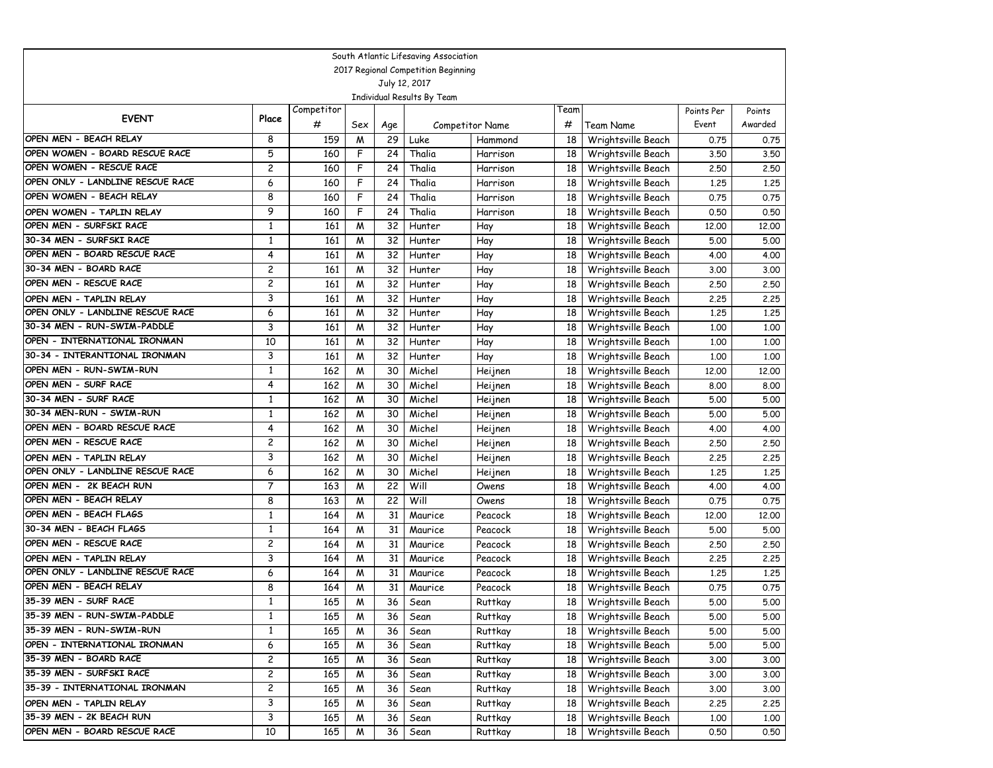| South Atlantic Lifesaving Association                       |                         |            |        |          |                  |                        |          |                                          |              |              |  |
|-------------------------------------------------------------|-------------------------|------------|--------|----------|------------------|------------------------|----------|------------------------------------------|--------------|--------------|--|
| 2017 Regional Competition Beginning                         |                         |            |        |          |                  |                        |          |                                          |              |              |  |
| July 12, 2017                                               |                         |            |        |          |                  |                        |          |                                          |              |              |  |
| Individual Results By Team                                  |                         |            |        |          |                  |                        |          |                                          |              |              |  |
| <b>EVENT</b>                                                | Place                   | Competitor |        |          |                  |                        | Team     |                                          | Points Per   | Points       |  |
|                                                             |                         | #          | Sex    | Age      |                  | <b>Competitor Name</b> | #        | Team Name                                | Event        | Awarded      |  |
| OPEN MEN - BEACH RELAY                                      | 8                       | 159        | M      | 29       | Luke             | Hammond                | 18       | Wrightsville Beach                       | 0.75         | 0.75         |  |
| OPEN WOMEN - BOARD RESCUE RACE                              | 5                       | 160        | F      | 24       | Thalia           | Harrison               | 18       | Wrightsville Beach                       | 3.50         | 3.50         |  |
| OPEN WOMEN - RESCUE RACE                                    | 2                       | 160        | F      | 24       | Thalia           | Harrison               | 18       | Wrightsville Beach                       | 2.50         | 2.50         |  |
| OPEN ONLY - LANDLINE RESCUE RACE                            | 6                       | 160        | F      | 24       | Thalia           | Harrison               | 18       | Wrightsville Beach                       | 1,25         | 1.25         |  |
| OPEN WOMEN - BEACH RELAY                                    | 8                       | 160        | F      | 24       | Thalia           | Harrison               | 18       | Wrightsville Beach                       | 0.75         | 0.75         |  |
| OPEN WOMEN - TAPLIN RELAY                                   | 9                       | 160        | F      | 24       | Thalia           | Harrison               | 18       | Wrightsville Beach                       | 0.50         | 0.50         |  |
| OPEN MEN - SURFSKI RACE                                     | 1                       | 161        | M      | 32       | Hunter           | Hay                    | 18       | Wrightsville Beach                       | 12,00        | 12.00        |  |
| 30-34 MEN - SURFSKI RACE                                    | 1                       | 161        | M      | 32       | Hunter           | Hay                    | 18       | Wrightsville Beach                       | 5.00         | 5.00         |  |
| OPEN MEN - BOARD RESCUE RACE                                | 4                       | 161        | M      | 32       | Hunter           | Hay                    | 18       | Wrightsville Beach                       | 4.00         | 4.00         |  |
| 30-34 MEN - BOARD RACE                                      | 2                       | 161        | M      | 32       | Hunter           | Hay                    | 18       | Wrightsville Beach                       | 3.00         | 3.00         |  |
| OPEN MEN - RESCUE RACE                                      | 2                       | 161        | M      | 32       | Hunter           | Hay                    | 18       | Wrightsville Beach                       | 2.50         | 2.50         |  |
| OPEN MEN - TAPLIN RELAY<br>OPEN ONLY - LANDLINE RESCUE RACE | 3                       | 161        | M      | 32       | Hunter           | Hay                    | 18       | Wrightsville Beach                       | 2.25         | 2.25         |  |
| 30-34 MEN - RUN-SWIM-PADDLE                                 | 6                       | 161        | M      | 32       | Hunter           | Hay                    | 18       | Wrightsville Beach                       | 1,25         | 1.25         |  |
|                                                             | 3                       | 161        | M      | 32       | Hunter           | Hay                    | 18       | Wrightsville Beach                       | 1,00         | 1,00         |  |
| OPEN - INTERNATIONAL IRONMAN                                | 10                      | 161        | M      | 32       | Hunter           | Hay                    | 18       | Wrightsville Beach                       | 1,00         | 1,00         |  |
| 30-34 - INTERANTIONAL IRONMAN<br>OPEN MEN - RUN-SWIM-RUN    | 3                       | 161        | M      | 32       | Hunter           | Hay                    | 18       | Wrightsville Beach                       | 1,00         | 1.00         |  |
| OPEN MEN - SURF RACE                                        | 1                       | 162        | M      | 30       | Michel           | Heijnen                | 18       | Wrightsville Beach                       | 12.00        | 12.00        |  |
| 30-34 MEN - SURF RACE                                       | 4                       | 162        | M      | 30       | Michel           | Heijnen                | 18       | Wrightsville Beach                       | 8.00         | 8.00         |  |
| 30-34 MEN-RUN - SWIM-RUN                                    | 1                       | 162        | M      | 30       | Michel           | Heijnen                | 18       | Wrightsville Beach                       | 5.00         | 5.00         |  |
| OPEN MEN - BOARD RESCUE RACE                                | 1<br>4                  | 162        | M      | 30       | Michel           | Heijnen                | 18       | Wrightsville Beach                       | 5.00         | 5.00         |  |
| OPEN MEN - RESCUE RACE                                      | 2                       | 162        | M      | 30<br>30 | Michel           | Heijnen                | 18       | Wrightsville Beach                       | 4.00         | 4.00         |  |
| OPEN MEN - TAPLIN RELAY                                     | 3                       | 162<br>162 | M<br>M | 30       | Michel<br>Michel | Heijnen                | 18<br>18 | Wrightsville Beach                       | 2.50         | 2.50<br>2.25 |  |
| OPEN ONLY - LANDLINE RESCUE RACE                            | 6                       | 162        | M      | 30       | Michel           | Heijnen                | 18       | Wrightsville Beach                       | 2.25<br>1,25 | 1.25         |  |
| OPEN MEN - 2K BEACH RUN                                     | $\overline{7}$          | 163        |        | 22       | Will             | Heijnen<br>Owens       | 18       | Wrightsville Beach                       | 4.00         | 4.00         |  |
| OPEN MEN - BEACH RELAY                                      | 8                       | 163        | M<br>M | 22       | Will             | Owens                  | 18       | Wrightsville Beach<br>Wrightsville Beach | 0.75         | 0.75         |  |
| OPEN MEN - BEACH FLAGS                                      | 1                       | 164        | M      | 31       | Maurice          | Peacock                | 18       | Wrightsville Beach                       | 12.00        | 12.00        |  |
| 30-34 MEN - BEACH FLAGS                                     | $\mathbf{1}$            | 164        | M      | 31       | Maurice          | Peacock                | 18       | Wrightsville Beach                       | 5.00         | 5.00         |  |
| OPEN MEN - RESCUE RACE                                      | 2                       | 164        | M      | 31       | Maurice          | Peacock                | 18       | Wrightsville Beach                       | 2.50         | 2.50         |  |
| OPEN MEN - TAPLIN RELAY                                     | 3                       | 164        | M      | 31       | Maurice          | Peacock                | 18       | Wrightsville Beach                       | 2.25         | 2.25         |  |
| OPEN ONLY - LANDLINE RESCUE RACE                            | 6                       | 164        | M      | 31       | Maurice          | Peacock                | 18       | Wrightsville Beach                       | 1,25         | 1,25         |  |
| OPEN MEN - BEACH RELAY                                      | 8                       | 164        | M      | 31       | Maurice          | Peacock                | 18       | Wrightsville Beach                       | 0.75         | 0.75         |  |
| 35-39 MEN - SURF RACE                                       | $\mathbf{1}$            | 165        | M      | 36       | Sean             | Ruttkay                | 18       | Wrightsville Beach                       | 5.00         | 5.00         |  |
| 35-39 MEN - RUN-SWIM-PADDLE                                 | 1                       | 165        | M      | 36       | Sean             | Ruttkay                | 18       | Wrightsville Beach                       | 5.00         | 5.00         |  |
| 35-39 MEN - RUN-SWIM-RUN                                    | $\mathbf{1}$            | 165        | M      | 36       | Sean             | Ruttkay                | 18       | Wrightsville Beach                       | 5.00         | 5.00         |  |
| OPEN - INTERNATIONAL IRONMAN                                | 6                       | 165        | M      | 36       | Sean             | Ruttkay                | 18       | Wrightsville Beach                       | 5.00         | 5.00         |  |
| 35-39 MEN - BOARD RACE                                      | $\overline{\mathbf{c}}$ | 165        | M      | 36       | Sean             | Ruttkay                | 18       | Wrightsville Beach                       | 3.00         | 3.00         |  |
| 35-39 MEN - SURFSKI RACE                                    | 2                       | 165        | M      | 36       | Sean             | Ruttkay                | 18       | Wrightsville Beach                       | 3.00         | 3.00         |  |
| 35-39 - INTERNATIONAL IRONMAN                               | $\overline{c}$          | 165        | M      | 36       | Sean             | Ruttkay                | 18       | Wrightsville Beach                       | 3.00         | 3.00         |  |
| OPEN MEN - TAPLIN RELAY                                     | 3                       | 165        | M      | 36       | Sean             | Ruttkay                | 18       | Wrightsville Beach                       | 2.25         | 2.25         |  |
| 35-39 MEN - 2K BEACH RUN                                    | 3                       | 165        | M      | 36       | Sean             | Ruttkay                | 18       | Wrightsville Beach                       | 1.00         | 1.00         |  |
| OPEN MEN - BOARD RESCUE RACE                                | 10                      | 165        | M      | 36       |                  |                        | 18       | Wrightsville Beach                       | 0.50         | 0.50         |  |
|                                                             |                         |            |        |          | Sean             | Ruttkay                |          |                                          |              |              |  |